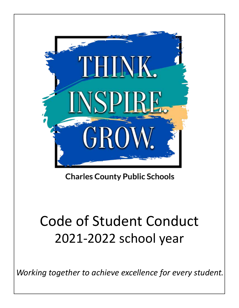

**Charles County Public Schools** 

# Code of Student Conduct 2021-2022 school year

*Working together to achieve excellence for every student.*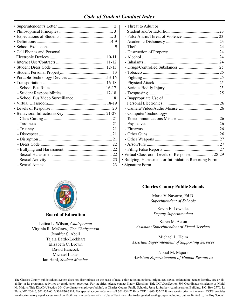# *Code of Student Conduct Index*

| • Cell Phones and Personal |  |
|----------------------------|--|
|                            |  |
|                            |  |
|                            |  |
|                            |  |
|                            |  |
|                            |  |
|                            |  |
|                            |  |
|                            |  |
|                            |  |
|                            |  |
|                            |  |
|                            |  |
|                            |  |
|                            |  |
|                            |  |
|                            |  |
|                            |  |
|                            |  |
|                            |  |
|                            |  |
|                            |  |
|                            |  |

| - Threat to Adult or                                                      |  |
|---------------------------------------------------------------------------|--|
|                                                                           |  |
|                                                                           |  |
|                                                                           |  |
|                                                                           |  |
|                                                                           |  |
|                                                                           |  |
|                                                                           |  |
|                                                                           |  |
|                                                                           |  |
|                                                                           |  |
|                                                                           |  |
|                                                                           |  |
|                                                                           |  |
| - Inappropriate Use of                                                    |  |
|                                                                           |  |
|                                                                           |  |
| - Computer/Technology/                                                    |  |
|                                                                           |  |
|                                                                           |  |
|                                                                           |  |
|                                                                           |  |
|                                                                           |  |
|                                                                           |  |
|                                                                           |  |
| · Virtual Classroom Levels of Response 28-29                              |  |
| · Bullying, Harassment or Intimidation Reporting Form<br>· Signature Form |  |
|                                                                           |  |



**Board of Education**

Latina L. Wilson, *Chairperson* Virginia R. McGraw, *Vice Chairperson* Jennifer S. Abell Tajala Battle-Lockhart Elizabeth C. Brown David Hancock Michael Lukas Ian Herd, *Student Member*

#### **Charles County Public Schools**

Maria V. Navarro, Ed.D. *Superintendent of Schools*

Kevin E. Lowndes *Deputy Superintendent*

Karen M. Acton *Assistant Superintendent of Fiscal Services*

Michael L. Heim *Assistant Superintendent of Supporting Services*

Nikial M. Majors *Assistant Superintendent of Human Resources*

The Charles County public school system does not discriminate on the basis of race, color, religion, national origin, sex, sexual orientation, gender identity, age or disability in its programs, activities or employment practices. For inquiries, please contact Kathy Kiessling, Title IX/ADA/Section 504 Coordinator (students) or Nikial M. Majors, Title IX/ADA/Section 504 Coordinator (employees/adults), at Charles County Public Schools, Jesse L. Starkey Administration Building, P.O. Box 2770, La Plata, MD 20646; 301-932-6610/301-870-3814. For special accommodations call 301-934-7230 or TDD 1-800-735-2258 two weeks prior to the event. CCPS provides nondiscriminatory equal access to school facilities in accordance with its Use of Facilities rules to designated youth groups (including, but not limited to, the Boy Scouts).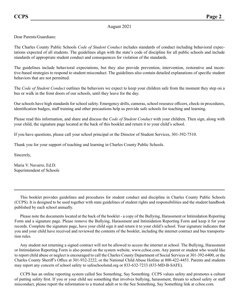#### August 2021

Dear Parents/Guardians:

The Charles County Public Schools *Code of Student Conduct* includes standards of conduct including behavioral expectations expected of all students. The guidelines align with the state's code of discipline for all public schools and include standards of appropriate student conduct and consequences for violation of the standards.

The guidelines include behavioral expectations, but they also provide prevention, intervention, restorative and incentive-based strategies to respond to student misconduct. The guidelines also contain detailed explanations of specific student behaviors that are not permitted.

The *Code of Student Conduct* outlines the behaviors we expect to keep your children safe from the moment they step on a bus or walk in the front doors of our schools, until they leave for the day.

Our schools have high standards for school safety. Emergency drills, cameras, school resource officers, check-in procedures, identification badges, staff training and other precautions help us provide safe schools for teaching and learning.

Please read this information, and share and discuss the *Code of Student Conduct* with your children. Then sign, along with your child, the signature page located at the back of this booklet and return it to your child's school.

If you have questions, please call your school principal or the Director of Student Services, 301-392-7510.

Thank you for your support of teaching and learning in Charles County Public Schools.

Sincerely,

Maria V. Navarro, Ed.D. Superintendent of Schools

This booklet provides guidelines and procedures for student conduct and discipline in Charles County Public Schools (CCPS). It is designed to be used together with state guidelines of student rights and responsibilities and the student handbook published by each school annually.

Please note the documents located at the back of the booklet - a copy of the Bullying, Harassment or Intimidation Reporting Form and a signature page. Please remove the Bullying, Harassment and Intimidation Reporting Form and keep it for your records. Complete the signature page, have your child sign it and return it to your child's school. Your signature indicates that you and your child have received and reviewed the contents of the booklet, including the internet contract and bus transportation rules.

Any student not returning a signed contract will not be allowed to access the internet at school. The Bullying, Harassment or Intimidation Reporting Form is also posted on the system website, www.ccboe.com. Any parent or student who would like to report child abuse or neglect is encouraged to call the Charles County Department of Social Services at 301-392-6400, or the Charles County Sheriff's Office at 301-932-2222, or the National Child Abuse Hotline at 800-422-4453. Parents and students may report any concern of school safety to safeschoolsmd.org or 833-632-7233 (833-MD-B-SAFE).

CCPS has an online reporting system called See Something, Say Something. CCPS values safety and promotes a culture of putting safety first. If you or your child see something that involves bullying, harassment, threats to school safety or staff misconduct, please report the information to a trusted adult or to the See Something, Say Something link at ccboe.com.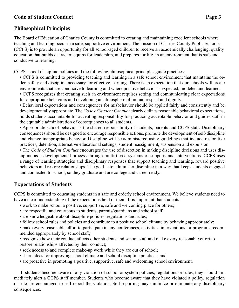# **Philosophical Principles**

The Board of Education of Charles County is committed to creating and maintaining excellent schools where teaching and learning occur in a safe, supportive environment. The mission of Charles County Public Schools (CCPS) is to provide an opportunity for all school-aged children to receive an academically challenging, quality education that builds character, equips for leadership, and prepares for life, in an environment that is safe and conducive to learning.

CCPS school discipline policies and the following philosophical principles guide practices:

- CCPS is committed to providing teaching and learning in a safe school environment that maintains the order, safety and discipline necessary for effective learning. There is an expectation that our schools will create environments that are conducive to learning and where positive behavior is expected, modeled and learned.
- CCPS recognizes that creating such an environment requires setting and communicating clear expectations for appropriate behaviors and developing an atmosphere of mutual respect and dignity.

• Behavioral expectations and consequences for misbehavior should be applied fairly and consistently and be developmentally appropriate. The *Code of Student Conduct* clearly defines reasonable behavioral expectations, holds students accountable for accepting responsibility for practicing acceptable behavior and guides staff in the equitable administration of consequences to all students.

• Appropriate school behavior is the shared responsibility of students, parents and CCPS staff. Disciplinary consequences should be designed to encourage responsible actions, promote the development of self-discipline and change inappropriate behavior. Discipline will be administered using guidelines that include restorative practices, detention, alternative educational settings, student reassignment, suspension and expulsion.

• The *Code of Student Conduct* encourages the use of discretion in making discipline decisions and uses discipline as a developmental process through multi-tiered systems of supports and interventions. CCPS uses a range of learning strategies and disciplinary responses that support teaching and learning, reward positive behaviors and restore relationships. The goal is to administer discipline in a way that keeps students engaged and connected to school, so they graduate and are college and career ready.

# **Expectations of Students**

CCPS is committed to educating students in a safe and orderly school environment. We believe students need to have a clear understanding of the expectations held of them. It is important that students:

- work to make school a positive, supportive, safe and welcoming place for others;
- are respectful and courteous to students, parents/guardians and school staff;
- are knowledgeable about discipline policies, regulations and rules;
- follow school rules and policies and contribute to a positive school climate by behaving appropriately;

• make every reasonable effort to participate in any conferences, activities, interventions, or programs recommended appropriately by school staff;

- recognize how their conduct affects other students and school staff and make every reasonable effort to restore relationships affected by their conduct;
- seek access to and complete make-up work while they are out of school;
- share ideas for improving school climate and school discipline practices; and
- are proactive in promoting a positive, supportive, safe and welcoming school environment.

If students become aware of any violation of school or system policies, regulations or rules, they should immediately alert a CCPS staff member. Students who become aware that they have violated a policy, regulation or rule are encouraged to self-report the violation. Self-reporting may minimize or eliminate any disciplinary consequences.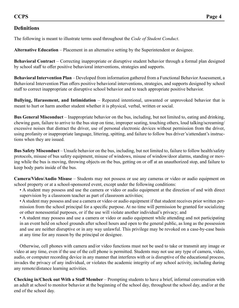# **Definitions**

The following is meant to illustrate terms used throughout the *Code of Student Conduct*.

**Alternative Education** – Placement in an alternative setting by the Superintendent or designee.

**Behavioral Contract** – Correcting inappropriate or disruptive student behavior through a formal plan designed by school staff to offer positive behavioral interventions, strategies and supports.

**Behavioral Intervention Plan** – Developed from information gathered from a Functional Behavior Assessment, a Behavioral Intervention Plan offers positive behavioral interventions, strategies, and supports designed by school staff to correct inappropriate or disruptive school behavior and to teach appropriate positive behavior.

**Bullying, Harassment, and Intimidation** – Repeated intentional, unwanted or unprovoked behavior that is meant to hurt or harm another student whether it is physical, verbal, written or social.

**Bus General Misconduct** – Inappropriate behavior on the bus, including, but not limited to, eating and drinking, chewing gum, failure to arrive to the bus stop on time, improper seating, touching others, loud talking/screaming/ excessive noises that distract the driver, use of personal electronic devices without permission from the driver, using profanity or inappropriate language, littering, spitting, and failure to follow bus driver's/attendant's instructions when they are issued.

**Bus Safety Misconduct** – Unsafe behavior on the bus, including, but not limited to, failure to follow health/safety protocols, misuse of bus safety equipment, misuse of windows, misuse of window/door alarms, standing or moving while the bus is moving, throwing objects on the bus, getting on or off at an unauthorized stop, and failure to keep body parts inside of the bus.

**Camera/Video/Audio Misuse** – Students may not possess or use any cameras or video or audio equipment on school property or at a school-sponsored event, except under the following conditions:

• A student may possess and use the camera or video or audio equipment at the direction of and with direct supervision by a classroom teacher as part of classroom activities;

• A student may possess and use a camera or video or audio equipment if that student receives prior written permission from the school principal for a specific purpose. At no time will permission be granted for socializing or other nonessential purposes, or if the use will violate another individual's privacy; and

• A student may possess and use a camera or video or audio equipment while attending and not participating in an event held on school grounds after school hours and open to the general public, as long as the possession and use are neither disruptive or in any way unlawful. This privilege may be revoked on a case-by-case basis at any time for any reason by the principal or designee.

Otherwise, cell phones with camera and/or video functions must not be used to take or transmit any image or video at any time, even if the use of the cell phone is permitted. Students may not use any type of camera, video, audio, or computer recording device in any manner that interferes with or is disruptive of the educational process, invades the privacy of any individual, or violates the academic integrity of any school activity, including during any remote/distance learning activities.

**Checking in/Check out With a Staff Member** – Prompting students to have a brief, informal conversation with an adult at school to monitor behavior at the beginning of the school day, throughout the school day, and/or at the end of the school day.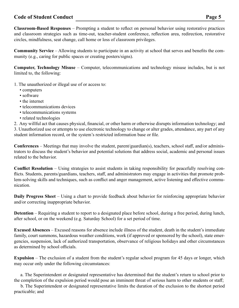**Classroom-Based Responses** – Prompting a student to reflect on personal behavior using restorative practices and classroom strategies such as time-out, teacher-student conference, reflection area, redirection, restorative circles, mindfulness, seat change, call home or loss of classroom privileges.

**Community Service** – Allowing students to participate in an activity at school that serves and benefits the community (e.g., caring for public spaces or creating posters/signs).

**Computer, Technology Misuse** – Computer, telecommunications and technology misuse includes, but is not limited to, the following:

- 1. The unauthorized or illegal use of or access to:
	- computers
	- software
	- the internet
	- telecommunications devices
	- telecommunications systems
	- related technologies

2. Any willful act that causes physical, financial, or other harm or otherwise disrupts information technology; and 3. Unauthorized use or attempts to use electronic technology to change or alter grades, attendance, any part of any student information record, or the system's restricted information base or file.

**Conferences** – Meetings that may involve the student, parent/guardian(s), teachers, school staff, and/or administrators to discuss the student's behavior and potential solutions that address social, academic and personal issues related to the behavior.

**Conflict Resolution** – Using strategies to assist students in taking responsibility for peacefully resolving conflicts. Students, parents/guardians, teachers, staff, and administrators may engage in activities that promote problem-solving skills and techniques, such as conflict and anger management, active listening and effective communication.

**Daily Progress Sheet** – Using a chart to provide feedback about behavior for reinforcing appropriate behavior and/or correcting inappropriate behavior.

**Detention** – Requiring a student to report to a designated place before school, during a free period, during lunch, after school, or on the weekend (e.g. Saturday School) for a set period of time.

**Excused Absences** – Excused reasons for absence include illness of the student, death in the student's immediate family, court summons, hazardous weather conditions, work (if approved or sponsored by the school), state emergencies, suspension, lack of authorized transportation, observance of religious holidays and other circumstances as determined by school officials.

**Expulsion** – The exclusion of a student from the student's regular school program for 45 days or longer, which may occur only under the following circumstances:

 a. The Superintendent or designated representative has determined that the student's return to school prior to the completion of the expulsion period would pose an imminent threat of serious harm to other students or staff;

 b. The Superintendent or designated representative limits the duration of the exclusion to the shortest period practicable; and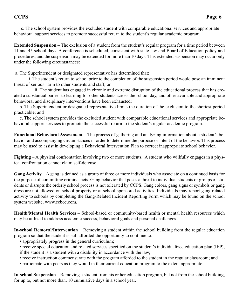c. The school system provides the excluded student with comparable educational services and appropriate behavioral support services to promote successful return to the student's regular academic program.

**Extended Suspension** – The exclusion of a student from the student's regular program for a time period between 11 and 45 school days. A conference is scheduled, consistent with state law and Board of Education policy and procedures, and the suspension may be extended for more than 10 days. This extended suspension may occur only under the following circumstances:

a. The Superintendent or designated representative has determined that:

 i. The student's return to school prior to the completion of the suspension period would pose an imminent threat of serious harm to other students and staff; or

 ii. The student has engaged in chronic and extreme disruption of the educational process that has created a substantial barrier to learning for other students across the school day, and other available and appropriate behavioral and disciplinary interventions have been exhausted;

 b. The Superintendent or designated representative limits the duration of the exclusion to the shortest period practicable; and

 c. The school system provides the excluded student with comparable educational services and appropriate behavioral support services to promote the successful return to the student's regular academic program.

**Functional Behavioral Assessment** – The process of gathering and analyzing information about a student's behavior and accompanying circumstances in order to determine the purpose or intent of the behavior. This process may be used to assist in developing a Behavioral Intervention Plan to correct inappropriate school behavior.

**Fighting** – A physical confrontation involving two or more students. A student who willfully engages in a physical confrontation cannot claim self-defense.

**Gang Activity** – A gang is defined as a group of three or more individuals who associate on a continued basis for the purpose of committing criminal acts. Gang behavior that poses a threat to individual students or groups of students or disrupts the orderly school process is not tolerated by CCPS. Gang colors, gang signs or symbols or gang dress are not allowed on school property or at school-sponsored activities. Individuals may report gang-related activity to schools by completing the Gang-Related Incident Reporting Form which may be found on the school system website, www.ccboe.com.

**Health/Mental Health Services** – School-based or community-based health or mental health resources which may be utilized to address academic success, behavioral goals and personal challenges.

**In-school Removal/Intervention** – Removing a student within the school building from the regular education program so that the student is still afforded the opportunity to continue to:

- appropriately progress in the general curriculum;
- receive special education and related services specified on the student's individualized education plan (IEP), if the student is a student with a disability in accordance with the law;
- receive instruction commensurate with the program afforded to the student in the regular classroom; and
- participate with peers as they would in their current education program to the extent appropriate.

**In-school Suspension** – Removing a student from his or her education program, but not from the school building, for up to, but not more than, 10 cumulative days in a school year.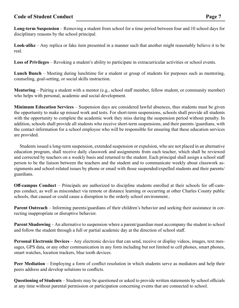**Long-term Suspension** – Removing a student from school for a time period between four and 10 school days for disciplinary reasons by the school principal.

**Look-alike** – Any replica or fake item presented in a manner such that another might reasonably believe it to be real.

**Loss of Privileges** – Revoking a student's ability to participate in extracurricular activities or school events.

**Lunch Bunch** – Meeting during lunchtime for a student or group of students for purposes such as mentoring, counseling, goal-setting, or social skills instruction.

**Mentoring** – Pairing a student with a mentor (e.g., school staff member, fellow student, or community member) who helps with personal, academic and social development.

**Minimum Education Services** – Suspension days are considered lawful absences, thus students must be given the opportunity to make up missed work and tests. For short-term suspensions, schools shall provide all students with the opportunity to complete the academic work they miss during the suspension period without penalty. In addition, schools shall provide all students who receive short-term suspensions, and their parents /guardians, with the contact information for a school employee who will be responsible for ensuring that these education services are provided.

Students issued a long-term suspension, extended suspension or expulsion, who are not placed in an alternative education program, shall receive daily classwork and assignments from each teacher, which shall be reviewed and corrected by teachers on a weekly basis and returned to the student. Each principal shall assign a school staff person to be the liaison between the teachers and the student and to communicate weekly about classwork assignments and school-related issues by phone or email with those suspended/expelled students and their parents/ guardians.

**Off-campus Conduct** – Principals are authorized to discipline students enrolled at their schools for off-campus conduct, as well as misconduct via remote or distance learning or occurring at other Charles County public schools, that caused or could cause a disruption to the orderly school environment..

**Parent Outreach** – Informing parents/guardians of their children's behavior and seeking their assistance in correcting inappropriate or disruptive behavior.

**Parent Shadowing** – An alternative to suspension where a parent/guardian must accompany the student to school and follow the student through a full or partial academic day at the direction of school staff.

**Personal Electronic Devices** – Any electronic device that can send, receive or display videos, images, text messages, GPS data, or any other communication in any form including but not limited to cell phones, smart phones, smart watches, location trackers, blue tooth devices.

**Peer Mediation** – Employing a form of conflict resolution in which students serve as mediators and help their peers address and develop solutions to conflicts.

**Questioning of Students** – Students may be questioned or asked to provide written statements by school officials at any time without parental permission or participation concerning events that are connected to school.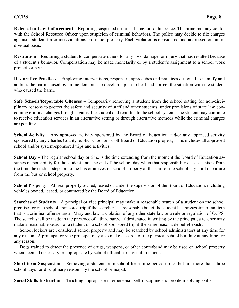**Referral to Law Enforcement** – Reporting suspected criminal behavior to the police. The principal may confer with the School Resource Officer upon suspicion of criminal behaviors. The police may decide to file charges against a student for crimes/violations on school property. Each violation is considered and addressed on an individual basis.

**Restitution** – Requiring a student to compensate others for any loss, damage, or injury that has resulted because of a student's behavior. Compensation may be made monetarily or by a student's assignment to a school work project, or both.

**Restorative Practices** – Employing interventions, responses, approaches and practices designed to identify and address the harm caused by an incident, and to develop a plan to heal and correct the situation with the student who caused the harm.

**Safe Schools/Reportable Offenses** – Temporarily removing a student from the school setting for non-disciplinary reasons to protect the safety and security of staff and other students, under provisions of state law concerning criminal charges brought against the student and reported to the school system. The student may continue to receive education services in an alternative setting or through alternative methods while the criminal charges are pending.

**School Activity** – Any approved activity sponsored by the Board of Education and/or any approved activity sponsored by any Charles County public school on or off Board of Education property. This includes all approved school and/or system-sponsored trips and activities.

**School Day** – The regular school day or time is the time extending from the moment the Board of Education assumes responsibility for the student until the end of the school day when that responsibility ceases. This is from the time the student steps on to the bus or arrives on school property at the start of the school day until departure from the bus or school property.

**School Property** – All real property owned, leased or under the supervision of the Board of Education, including vehicles owned, leased, or contracted by the Board of Education.

**Searches of Students** – A principal or vice principal may make a reasonable search of a student on the school premises or on a school-sponsored trip if the searcher has reasonable belief the student has possession of an item that is a criminal offense under Maryland law, a violation of any other state law or a rule or regulation of CCPS. The search shall be made in the presence of a third party. If designated in writing by the principal, a teacher may make a reasonable search of a student on a school-sponsored trip if the same reasonable belief exists.

School lockers are considered school property and may be searched by school administrators at any time for any reason. A principal or vice principal may also make a search of the physical school building at any time for any reason.

Dogs trained to detect the presence of drugs, weapons, or other contraband may be used on school property when deemed necessary or appropriate by school officials or law enforcement.

**Short-term Suspension** – Removing a student from school for a time period up to, but not more than, three school days for disciplinary reasons by the school principal.

**Social Skills Instruction** – Teaching appropriate interpersonal, self-discipline and problem-solving skills.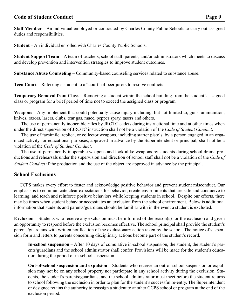**Staff Member** – An individual employed or contracted by Charles County Public Schools to carry out assigned duties and responsibilities.

**Student** – An individual enrolled with Charles County Public Schools.

**Student Support Team** – A team of teachers, school staff, parents, and/or administrators which meets to discuss and develop prevention and intervention strategies to improve student outcomes.

**Substance Abuse Counseling** – Community-based counseling services related to substance abuse.

**Teen Court** – Referring a student to a "court" of peer jurors to resolve conflicts.

**Temporary Removal from Class** – Removing a student within the school building from the student's assigned class or program for a brief period of time not to exceed the assigned class or program.

**Weapons** – Any implement that could potentially cause injury including, but not limited to, guns, ammunition, knives, razors, lasers, clubs, tear gas, mace, pepper spray, tasers and others.

 The use of permanently inoperable rifles by JROTC cadets during instructional time and at other times when under the direct supervision of JROTC instruction shall not be a violation of the *Code of Student Conduct*.

 The use of facsimile, replica, or collector weapons, including starter pistols, by a person engaged in an organized activity for educational purposes, approved in advance by the Superintendent or principal, shall not be a violation of the *Code of Student Conduct*.

 The use of permanently inoperable weapons and look-alike weapons by students during school drama productions and rehearsals under the supervision and direction of school staff shall not be a violation of the *Code of Student Conduct* if the production and the use of the object are approved in advance by the principal.

# **School Exclusions**

CCPS makes every effort to foster and acknowledge positive behavior and prevent student misconduct. Our emphasis is to communicate clear expectations for behavior, create environments that are safe and conducive to learning, and teach and reinforce positive behaviors while keeping students in school. Despite our efforts, there may be times when student behavior necessitates an exclusion from the school environment. Below is additional information that students and parents/guardians should be familiar with in the event a student is excluded.

**Exclusion** – Students who receive any exclusion must be informed of the reason(s) for the exclusion and given an opportunity to respond before the exclusion becomes effective. The school principal shall provide the student's parents/guardians with written notification of the exclusionary action taken by the school. The notice of suspension form and letters to parents concerning disciplinary actions become part of the student's record.

**In-school suspension** – After 10 days of cumulative in-school suspension, the student, the student's parents/guardians and the school administrator shall confer. Provisions will be made for the student's education during the period of in-school suspension.

**Out-of-school suspension and expulsion** – Students who receive an out-of-school suspension or expulsion may not be on any school property nor participate in any school activity during the exclusion. Students, the student's parents/guardians, and the school administrator must meet before the student returns to school following the exclusion in order to plan for the student's successful re-entry. The Superintendent or designee retains the authority to reassign a student to another CCPS school or program at the end of the exclusion period.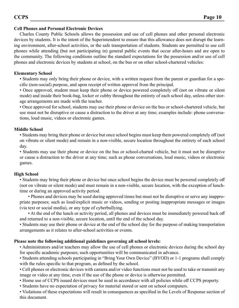# **Cell Phones and Personal Electronic Devices**

Charles County Public Schools allows the possession and use of cell phones and other personal electronic devices by students. It is the intent of the Superintendent to ensure that this allowance does not disrupt the learning environment, after-school activities, or the safe transportation of students. Students are permitted to use cell phones while attending (but not participating in) general public events that occur after-hours and are open to the community. The following conditions outline the standard expectations for the possession and/or use of cell phones and electronic devices by students at school, on the bus or on other school-chartered vehicles:

# **Elementary School**

• Students may only bring their phone or device, with a written request from the parent or guardian for a specific (non-social) purpose, and upon receipt of written approval from the principal.

• Once approved, student must keep their phone or device powered completely off (not on vibrate or silent mode) and inside their book-bag, locker or cubby throughout the entirety of each school day, unless other storage arrangements are made with the teacher.

• Once approved for school, students may use their phone or device on the bus or school-chartered vehicle, but use must not be disruptive or cause a distraction to the driver at any time; examples include: phone conversations, loud music, videos or electronic games.

# **Middle School**

• Students may bring their phone or device but once school begins must keep them powered completely off (not on vibrate or silent mode) and remain in a non-visible, secure location throughout the entirety of each school day.

• Students may use their phone or device on the bus or school-charted vehicle, but it must not be disruptive or cause a distraction to the driver at any time; such as phone conversations, loud music, videos or electronic games.

# **High School**

• Students may bring their phone or device but once school begins the device must be powered completely off (not on vibrate or silent mode) and must remain in a non-visible, secure location, with the exception of lunchtime or during an approved activity period.

• Phones and devices may be used during approved times but must not be disruptive or serve any inappropriate purposes; such as loud/explicit music or videos, sending or posting inappropriate messages or images (via text or social media), or any type of cyberbullying.

• At the end of the lunch or activity period, all phones and devices must be immediately powered back off and returned to a non-visible, secure location, until the end of the school day.

• Students may use their phone or device at the end of the school day for the purpose of making transportation arrangements as it relates to after-school activities or events.

# **Please note the following additional guidelines governing all school levels:**

• Administrators and/or teachers may allow the use of cell phones or electronic devices during the school day for specific academic purposes; such opportunities will be communicated in advance.

• Students attending schools participating in "Bring Your Own Device" (BYOD) or 1-1 programs shall comply with the rules specific to that program, as defined by the school.

• Cell phones or electronic devices with camera and/or video functions must not be used to take or transmit any image or video at any time, even if the use of the phone or device is otherwise permitted.

• Home use of CCPS issued devices must be used in accordance with all policies while off CCPS property.

• Students have no expectation of privacy for material stored or sent on school computers.

• Violations of these expectations will result in consequences as specified in the Levels of Response section of this document.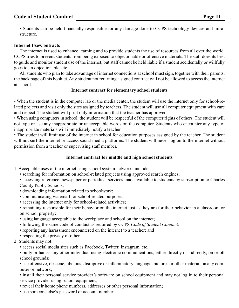• Students can be held financially responsible for any damage done to CCPS technology devices and infrastructure.

# **Internet Use/Contracts**

The internet is used to enhance learning and to provide students the use of resources from all over the world. CCPS tries to prevent students from being exposed to objectionable or offensive materials. The staff does its best to guide and monitor student use of the internet, but staff cannot be held liable if a student accidentally or willfully goes to an objectionable site.

All students who plan to take advantage of internet connections at school must sign, together with their parents, the back page of this booklet. Any student not returning a signed contract will not be allowed to access the internet at school.

#### **Internet contract for elementary school students**

• When the student is in the computer lab or the media center, the student will use the internet only for school-related projects and visit only the sites assigned by teachers. The student will use all computer equipment with care and respect. The student will print only information that the teacher has approved.

• When using computers in school, the student will be respectful of the computer rights of others. The student will not type or use any inappropriate or unacceptable words on the computer. Students who encounter any type of inappropriate materials will immediately notify a teacher.

• The student will limit use of the internet in school for education purposes assigned by the teacher. The student will not surf the internet or access social media platforms. The student will never log on to the internet without permission from a teacher or supervising staff member.

# **Internet contract for middle and high school students**

1. Acceptable uses of the internet using school system networks include:

• searching for information on school-related projects using approved search engines;

• accessing reference, newspaper or periodical services made available to students by subscription to Charles County Public Schools;

- downloading information related to schoolwork;
- communicating via email for school-related purposes.
- accessing the internet only for school-related activities;

• remaining responsible for their behavior on the internet just as they are for their behavior in a classroom or on school property;

- using language acceptable to the workplace and school on the internet;
- following the same code of conduct as required by CCPS *Code of Student Conduct;*
- reporting any harassment encountered on the internet to a teacher; and
- respecting the privacy of others.
- 2. Students may not:
	- access social media sites such as Facebook, Twitter, Instagram, etc.;

• bully or harass any other individual using electronic communications, either directly or indirectly, on or off school grounds;

• use offensive, obscene, libelous, disruptive or inflammatory language, pictures or other material on any computer or network;

• install their personal service provider's software on school equipment and may not log in to their personal service provider using school equipment;

- reveal their home phone numbers, addresses or other personal information;
- use someone else's password or account number;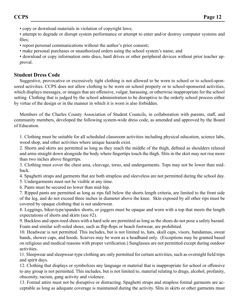• copy or download materials in violation of copyright laws;

• attempt to degrade or disrupt system performance or attempt to enter and/or destroy computer systems and files;

- repost personal communications without the author's prior consent;
- make personal purchases or unauthorized orders using the school system's name; and

• download or copy information onto discs, hard drives or other peripheral devices without prior teacher approval.

# **Student Dress Code**

Suggestive, provocative or excessively tight clothing is not allowed to be worn to school or to school-sponsored activities. CCPS does not allow clothing to be worn on school property or to school-sponsored activities, which displays messages, or images that are offensive, vulgar, harassing, or otherwise inappropriate for the school setting. Clothing that is judged by the school administration to be disruptive to the orderly school process either by virtue of the design or in the manner in which it is worn is also forbidden.

Members of the Charles County Association of Student Councils, in collaboration with parents, staff, and community members, developed the following system-wide dress code, as amended and approved by the Board of Education.

1. Clothing must be suitable for all scheduled classroom activities including physical education, science labs, wood shop, and other activities where unique hazards exist.

2. Shorts and skirts are permitted as long as they reach the middle of the thigh, defined as shoulders relaxed and arms straight down alongside the body where fingertips touch the thigh. Slits in the skirt may not rise more than two inches above fingertips.

3. Clothing must cover the chest area, cleavage, torso, and undergarments. Tops may not be lower than midback.

4. Spaghetti straps and garments that are both strapless and sleeveless are not permitted during the school day.

5. Undergarments must not be visible at any time.

6. Pants must be secured no lower than mid-hip.

7. Ripped pants are permitted as long as rips fall below the shorts length criteria, are limited to the front side of the leg, and do not exceed three inches in diameter above the knee. Skin exposed by all other rips must be covered by opaque clothing that is not underwear.

8. Leggings, biker-type/spandex shorts, or joggers must be opaque and worn with a top that meets the length expectations of shorts and skirts (see #2).

9. Backless and open-toed shoes with a hard sole are permitted as long as the shoes do not pose a safety hazard. Foam and similar soft-soled shoes, such as flip-flops or beach footwear, are prohibited.

10. Headwear is not permitted. This includes, but is not limited to, hats, skull caps, visors, bandannas, sweat bands, shower caps, and hoods. Scarves may be worn as a headband only. (Exceptions may be granted based on religious and medical reasons with proper verification.) Sunglasses are not permitted except during outdoor activities.

11. Sleepwear and sleepwear-type clothing are only permitted for certain activities, such as overnight field trips and spirit days.

12. Clothing that displays or symbolizes any language or material that is inappropriate for school or offensive to any group is not permitted. This includes, but is not limited to, material relating to drugs, alcohol, profanity, obscenity, racism, gang activity and violence.

13. Formal attire must not be disruptive or distracting. Spaghetti straps and strapless formal garments are acceptable as long as adequate coverage is maintained during the activity. Slits in skirts or other garments must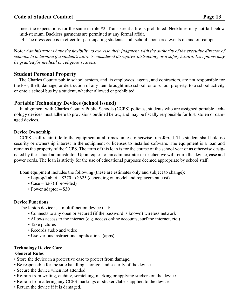meet the expectations for the same in rule #2. Transparent attire is prohibited. Necklines may not fall below mid-sternum. Backless garments are permitted at any formal affair.

14. The dress code is in effect for participating students at all school-sponsored events on and off campus.

**Note:** *Administrators have the flexibility to exercise their judgment, with the authority of the executive director of schools, to determine if a student's attire is considered disruptive, distracting, or a safety hazard. Exceptions may be granted for medical or religious reasons.* 

# **Student Personal Property**

 The Charles County public school system, and its employees, agents, and contractors, are not responsible for the loss, theft, damage, or destruction of any item brought into school, onto school property, to a school activity or onto a school bus by a student, whether allowed or prohibited.

# **Portable Technology Devices (school issued)**

In alignment with Charles County Public Schools (CCPS) policies, students who are assigned portable technology devices must adhere to provisions outlined below, and may be fiscally responsible for lost, stolen or damaged devices.

# **Device Ownership**

CCPS shall retain title to the equipment at all times, unless otherwise transferred. The student shall hold no security or ownership interest in the equipment or licenses to installed software. The equipment is a loan and remains the property of the CCPS. The term of this loan is for the course of the school year or as otherwise designated by the school administrator. Upon request of an administrator or teacher, we will return the device, case and power cords. The loan is strictly for the use of educational purposes deemed appropriate by school staff.

Loan equipment includes the following (these are estimates only and subject to change):

- Laptop/Tablet \$370 to \$625 (depending on model and replacement cost)
- Case \$26 (if provided)
- Power adaptor \$30

# **Device Functions**

The laptop device is a multifunction device that:

- Connects to any open or secured (if the password is known) wireless network
- Allows access to the internet (e.g. access online accounts, surf the internet, etc.)
- Take pictures
- Records audio and video
- Use various instructional applications (apps)

# **Technology Device Care**

# **General Rules**

- Store the device in a protective case to protect from damage.
- Be responsible for the safe handling, storage, and security of the device.
- Secure the device when not attended.
- Refrain from writing, etching, scratching, marking or applying stickers on the device.
- Refrain from altering any CCPS markings or stickers/labels applied to the device.
- Return the device if it is damaged.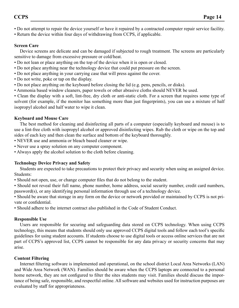• Do not attempt to repair the device yourself or have it repaired by a contracted computer repair service facility.

• Return the device within four days of withdrawing from CCPS, if applicable.

# **Screen Care**

Device screens are delicate and can be damaged if subjected to rough treatment. The screens are particularly sensitive to damage from excessive pressure or cold/heat.

- Do not lean or place anything on the top of the device when it is open or closed.
- Do not place anything near the technology device that could put pressure on the screen.
- Do not place anything in your carrying case that will press against the cover.
- Do not write, poke or tap on the display.
- Do not place anything on the keyboard before closing the lid (e.g. pens, pencils, or disks).
- Ammonia based window cleaners, paper towels or other abrasive cloths should NEVER be used.

• Clean the display with a soft, lint-free, dry cloth or anti-static cloth. For a screen that requires some type of solvent (for example, if the monitor has something more than just fingerprints), you can use a mixture of half isopropyl alcohol and half water to wipe it clean.

# **Keyboard and Mouse Care**

The best method for cleaning and disinfecting all parts of a computer (especially keyboard and mouse) is to use a lint-free cloth with isopropyl alcohol or approved disinfecting wipes. Rub the cloth or wipe on the top and sides of each key and then clean the surface and bottom of the keyboard thoroughly.

- NEVER use and ammonia or bleach based cleaner or wipe.
- Never use a spray solution on any computer component.
- Always apply the alcohol solution to the cloth before cleaning.

# **Technology Device Privacy and Safety**

Students are expected to take precautions to protect their privacy and security when using an assigned device. Students:

• Should not open, use, or change computer files that do not belong to the student.

• Should not reveal their full name, phone number, home address, social security number, credit card numbers, password(s), or any identifying personal information through use of a technology device.

• Should be aware that storage in any form on the device or network provided or maintained by CCPS is not private or confidential.

• Should adhere to the internet contract also published in the Code of Student Conduct.

# **Responsible Use**

Users are responsible for securing and safeguarding data stored on CCPS technology. When using CCPS technology, this means that students should only use approved CCPS digital tools and follow each tool's specific guidelines for using student accounts. If students choose to use digital tools or access online services that are not part of CCPS's approved list, CCPS cannot be responsible for any data privacy or security concerns that may arise.

# **Content Filtering**

Internet filtering software is implemented and operational, on the school district Local Area Networks (LAN) and Wide Area Network (WAN). Families should be aware when the CCPS laptops are connected to a personal home network, they are not configured to filter the sites students may visit. Families should discuss the importance of being safe, responsible, and respectful online. All software and websites used for instruction purposes are evaluated by staff for appropriateness.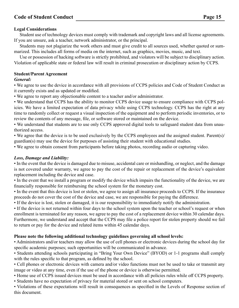# **Legal Considerations**

Student use of technology devices must comply with trademark and copyright laws and all license agreements. If you are unsure, ask a teacher, network administrator, or the principal.

Students may not plagiarize the work others and must give credit to all sources used, whether quoted or summarized. This includes all forms of media on the internet, such as graphics, movies, music, and text.

Use or possession of hacking software is strictly prohibited, and violators will be subject to disciplinary action. Violation of applicable state or federal law will result in criminal prosecution or disciplinary action by CCPS.

#### **Student/Parent Agreement**

#### *General:*

• We agree to use the device in accordance with all provisions of CCPS policies and Code of Student Conduct as it currently exists and as updated or modified.

• We agree to report any objectionable content to a teacher and/or administrator.

• We understand that CCPS has the ability to monitor CCPS device usage to ensure compliance with CCPS policies. We have a limited expectation of data privacy while using CCPS technology. CCPS has the right at any time to randomly collect or request a visual inspection of the equipment and to perform periodic inventories, or to review the contents of any message, file, or software stored or maintained on the device.

• We understand that students are to use only CCPS approved digital tools to safeguard student data from unauthorized access.

• We agree that the device is to be used exclusively by the CCPS employees and the assigned student. Parent(s)/ guardian(s) may use the device for purposes of assisting their student with educational studies.

• We agree to obtain consent from participants before taking photos, recording audio or capturing video.

# *Loss, Damage and Liability:*

• In the event that the device is damaged due to misuse, accidental care or mishandling, or neglect, and the damage is not covered under warranty, we agree to pay the cost of the repair or replacement of the device's equivalent replacement including the device and case.

• In the event that we install a program or modify the device which impairs the functionality of the device, we are financially responsible for reimbursing the school system for the monetary cost.

• In the event that this device is lost or stolen, we agree to assign all insurance proceeds to CCPS. If the insurance proceeds do not cover the cost of the device and case, we are responsible for paying the difference.

• If the device is lost, stolen or damaged, it is our responsibility to immediately notify the administration.

• If the device is not returned within four days to the school system upon the teacher or school's request or when enrollment is terminated for any reason, we agree to pay the cost of a replacement device within 30 calendar days. Furthermore, we understand and accept that the CCPS may file a police report for stolen property should we fail to return or pay for the device and related items within 45 calendar days.

#### **Please note the following additional technology guidelines governing all school levels:**

• Administrators and/or teachers may allow the use of cell phones or electronic devices during the school day for specific academic purposes; such opportunities will be communicated in advance.

• Students attending schools participating in "Bring Your Own Device" (BYOD) or 1-1 programs shall comply with the rules specific to that program, as defined by the school.

• Cell phones or electronic devices with camera and/or video functions must not be used to take or transmit any image or video at any time, even if the use of the phone or device is otherwise permitted.

• Home use of CCPS issued devices must be used in accordance with all policies rules while off CCPS property.

• Students have no expectation of privacy for material stored or sent on school computers.

• Violations of these expectations will result in consequences as specified in the Levels of Response section of this document.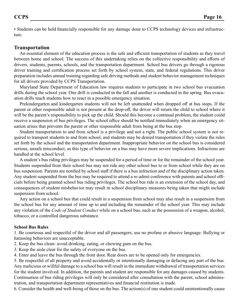• Students can be held financially responsible for any damage done to CCPS technology devices and infrastructure.

# **Transportation**

An essential element of the education process is the safe and efficient transportation of students as they travel between home and school. The success of this undertaking relies on the collective responsibility and efforts of drivers, students, parents, schools, and the transportation department. School bus drivers go through a rigorous driver training and certification process set forth by school system, state, and federal regulations. This driver preparation includes annual training regarding safe driving methods and student behavior management techniques for all drivers provided by CCPS Transportation.

Maryland State Department of Education law requires students to participate in two school bus evacuation drills during the school year. One drill is conducted in the fall and another is conducted in the spring. Bus evacuation drills teach students how to react in a possible emergency situation.

Prekindergarten and kindergarten students will not be left unattended when dropped off at bus stops. If the parent or other responsible adult is not present at the drop-off, the driver will return the child to school where it will be the parent's responsibility to pick up the child. Should this become a continual problem, the student could receive a suspension of bus privileges. The school office should be notified immediately when an emergency situation arises that prevents the parent or other responsible adult from being at the bus stop.

Student transportation to and from school is a privilege and not a right. The public school system is not required to transport students to and from school, and students may be denied transportation if they violate the rules set forth by the school and the transportation department. Inappropriate behavior on the school bus is considered serious, unsafe misconduct, as this type of behavior on a bus may have more severe implications. Infractions are handled at the school level.

A student's bus riding privileges may be suspended for a period of time or for the remainder of the school year. Students suspended from their school bus may not ride any other school bus to or from school while they are on bus suspension. Parents are notified by school staff if there is a bus infraction and of the disciplinary action taken. Any student suspended from the bus may be required to attend a re-admit conference with parents and school officials before being granted school bus riding privileges. The school bus ride is an extension of the school day, and consequences of student misbehavior may result in school disciplinary measures being taken that might include suspension from school.

Any action on a school bus that could result in a suspension from school may also result in a suspension from the school bus for any amount of time up to and including the remainder of the school year. This may include any violation of the *Code of Student Conduct* while on a school bus, such as the possession of a weapon, alcohol, tobacco, or a controlled dangerous substance.

# **School Bus Rules**

1. Be courteous and respectful of the driver and all passengers; use no profane or abusive language. Bullying or harassing behaviors are unacceptable.

- 2. Keep the bus clean- avoid drinking, eating, or chewing gum on the bus.
- 3. Keep the aisle clear for the safety of everyone on the bus.
- 4. Enter and leave the bus through the front door. Rear doors are to be opened only for emergencies.

5. Be respectful of all property and avoid accidentally or intentionally damaging or defacing any part of the bus. Any malicious or willful damage to a school bus will result in the immediate withdrawal of transportation services for the student involved. In addition, the parents and student are responsible for any damages caused by students. Continuation of bus riding privileges will only be considered after consultation with the parent, school administration, and transportation department representatives and financial restitution is made.

6. Consider the health and well-being of those on the bus. The action(s) of one student could unintentionally cause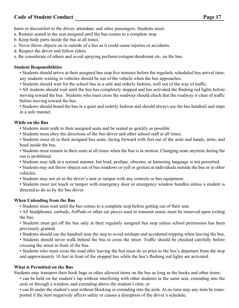harm or discomfort to the driver, attendant, and other passengers. Students must:

a. Remain seated in the seat assigned until the bus comes to a complete stop.

b. Keep body parts inside the bus at all times.

- c. Never throw objects on or outside of a bus as it could cause injuries or accidents.
- d. Respect the driver and fellow riders.

e. Be considerate of others and avoid spraying perfume/cologne/deodorant etc. on the bus.

# **Student Responsibilities**

• Students should arrive at their assigned bus stop five minutes before the regularly scheduled bus arrival time; any students waiting in vehicles should be out of the vehicle when the bus approaches.

• Students should wait for the school bus in a safe and orderly fashion, well out of the way of traffic.

• All students should wait until the bus has completely stopped and has activated the flashing red lights before moving toward the bus. Students who must cross the roadway should check that the roadway is clear of traffic before moving toward the bus.

• Students should board the bus in a quiet and orderly fashion and should always use the bus handrail and steps in a safe manner.

# **While on the Bus**

- Students must walk to their assigned seats and be seated as quickly as possible.
- Students must obey the directions of the bus driver and other school staff at all times.

• Students must sit in their assigned bus seats, facing forward with feet out of the aisle and hands, arms, and head inside the bus.

- Students must remain in their seats at all times when the bus is in motion. Changing seats anytime during the run is prohibited.
- Students may talk in a normal manner, but loud, profane, obscene, or harassing language is not permitted.
- Students may not throw objects out of bus windows or yell or gesture at individuals outside the bus or in other vehicles.
- Students may not sit in the driver's seat or tamper with any controls or bus equipment.
- Students must not touch or tamper with emergency door or emergency window handles unless a student is directed to do so by the bus driver.

# **When Unloading from the Bus**

- Students must wait until the bus comes to a complete stop before getting out of their seat.
- All headphones, earbuds, AirPods or other ear pieces used to transmit music must be removed upon exiting the bus.

• Students must get off the bus only at their regularly assigned bus stop unless school permission has been previously granted.

• Students should use the handrail near the step to avoid mishaps and accidental tripping when leaving the bus.

• Students should never walk behind the bus to cross the street. Traffic should be checked carefully before crossing the street in front of the bus.

• Students who must cross the road after leaving the bus must do so prior to the bus's departure from the stop and approximately 10 feet in front of the stopped bus while the bus's flashing red lights are activated.

# **What is Permitted on the Bus**

Students may transport their book bags or other allowed items on the bus as long as the books and other items:

• can be held on the student's lap without interfering with other students in the same seat, extending into the aisle or through a window, and extending above the student's chin; or

• can fit under the student's seat without blocking or extending into the aisle. At no time may any item be transported if the item negatively affects safety or causes a disruption of the driver's schedule.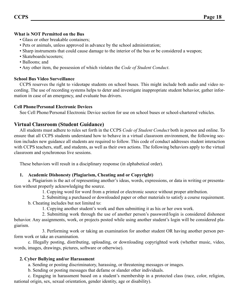# **What is NOT Permitted on the Bus**

- Glass or other breakable containers;
- Pets or animals, unless approved in advance by the school administration;
- Sharp instruments that could cause damage to the interior of the bus or be considered a weapon;
- Skateboards/scooters:
- Balloons; and
- Any other item, the possession of which violates the *Code of Student Conduct*.

# **School Bus Video Surveillance**

CCPS reserves the right to videotape students on school buses. This might include both audio and video recording. The use of recording systems helps to deter and investigate inappropriate student behavior, gather information in case of an emergency, and evaluate bus drivers.

# **Cell Phone/Personal Electronic Devices**

See Cell Phone/Personal Electronic Device section for use on school buses or school-chartered vehicles.

# **Virtual Classroom (Student Guidance)**

All students must adhere to rules set forth in the CCPS *Code of Student Conduct* both in person and online. To ensure that all CCPS students understand how to behave in a virtual classroom environment, the following section includes new guidance all students are required to follow. This code of conduct addresses student interaction with CCPS teachers, staff, and students, as well as their own actions. The following behaviors apply to the virtual classroom and synchronous live sessions.

These behaviors will result in a disciplinary response (in alphabetical order).

# **1. Academic Dishonesty (Plagiarism, Cheating and or Copyright)**

a. Plagiarism is the act of representing another's ideas, words, expressions, or data in writing or presentation without properly acknowledging the source.

1. Copying word for word from a printed or electronic source without proper attribution.

 2. Submitting a purchased or downloaded paper or other materials to satisfy a course requirement. b. Cheating includes but not limited to:

1. Copying another student's work and then submitting it as his or her own work.

 2. Submitting work through the use of another person's password/login is considered dishonest behavior. Any assignments, work, or projects posted while using another student's login will be considered plagiarism.

 3. Performing work or taking an examination for another student OR having another person perform work or take an examination.

c. Illegally posting, distributing, uploading, or downloading copyrighted work (whether music, video, words, images, drawings, pictures, software or otherwise).

# **2. Cyber Bullying and/or Harassment**

a. Sending or posting discriminatory, harassing, or threatening messages or images.

b. Sending or posting messages that defame or slander other individuals.

c. Engaging in harassment based on a student's membership in a protected class (race, color, religion, national origin, sex, sexual orientation, gender identity, age or disability).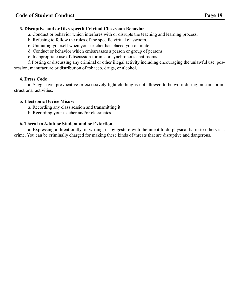# **3. Disruptive and or Disrespectful Virtual Classroom Behavior**

- a. Conduct or behavior which interferes with or disrupts the teaching and learning process.
- b. Refusing to follow the rules of the specific virtual classroom.
- c. Unmuting yourself when your teacher has placed you on mute.
- d. Conduct or behavior which embarrasses a person or group of persons.
- e. Inappropriate use of discussion forums or synchronous chat rooms.

f. Posting or discussing any criminal or other illegal activity including encouraging the unlawful use, possession, manufacture or distribution of tobacco, drugs, or alcohol.

# **4. Dress Code**

a. Suggestive, provocative or excessively tight clothing is not allowed to be worn during on camera instructional activities.

# **5. Electronic Device Misuse**

a. Recording any class session and transmitting it.

b. Recording your teacher and/or classmates.

# **6. Threat to Adult or Student and or Extortion**

a. Expressing a threat orally, in writing, or by gesture with the intent to do physical harm to others is a crime. You can be criminally charged for making these kinds of threats that are disruptive and dangerous.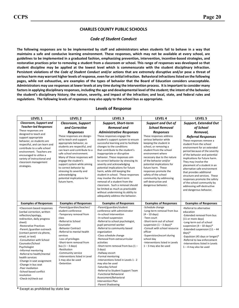#### CHARLES COUNTY PUBLIC SCHOOLS

#### Code of Student Conduct

The following responses are to be implemented by staff and administrators when students fail to behave in a way that maintains a safe and conducive learning environment. These responses, which may not be available at every school, are guidelines to be implemented in a graduated fashion, emphasizing prevention, intervention, incentive-based strategies, and restorative practices prior to removing a student from a classroom or school. This range of responses was developed so that student discipline may be applied at the lowest level which is commensurate with the student disciplinary infraction. Persistent violations of the Code of Student Conduct and/or actions that are extremely disruptive and/or pose a threat of serious harm may warrant higher levels of response, even for an initial infraction. Behavioral infractions listed on the following pages, while not exhaustive, are examples of the types of behavior that the Board of Education considers unacceptable. Administrators may use responses at lower levels at any time during the intervention process. It is important to consider many factors in applying disciplinary responses, including the age and developmental level of the student; the intent of the behavior; the student's disciplinary history; the nature, severity, and impact of the infraction; and local, state, and federal rules and regulations. The following levels of responses may also apply to the school bus as appropriate.

| LEVEL 1                                                                                                                                                                                                                                                                                                                                                                                                                                                                                                            | LEVEL <sub>2</sub>                                                                                                                                                                                                                                                                                                                                                                            | LEVEL <sub>3</sub>                                                                                                                                                                                                                                                                                                                                                                                                                                                                                                                                                                                                                             | LEVEL 4                                                                                                                                                                                                                                                                                                                                                                                      | LEVEL 5                                                                                                                                                                                                                                                                                                                                                                                                                                                                                          |
|--------------------------------------------------------------------------------------------------------------------------------------------------------------------------------------------------------------------------------------------------------------------------------------------------------------------------------------------------------------------------------------------------------------------------------------------------------------------------------------------------------------------|-----------------------------------------------------------------------------------------------------------------------------------------------------------------------------------------------------------------------------------------------------------------------------------------------------------------------------------------------------------------------------------------------|------------------------------------------------------------------------------------------------------------------------------------------------------------------------------------------------------------------------------------------------------------------------------------------------------------------------------------------------------------------------------------------------------------------------------------------------------------------------------------------------------------------------------------------------------------------------------------------------------------------------------------------------|----------------------------------------------------------------------------------------------------------------------------------------------------------------------------------------------------------------------------------------------------------------------------------------------------------------------------------------------------------------------------------------------|--------------------------------------------------------------------------------------------------------------------------------------------------------------------------------------------------------------------------------------------------------------------------------------------------------------------------------------------------------------------------------------------------------------------------------------------------------------------------------------------------|
| Classroom, Support and                                                                                                                                                                                                                                                                                                                                                                                                                                                                                             | <b>Classroom, Support</b>                                                                                                                                                                                                                                                                                                                                                                     | <b>Support, Short-term</b>                                                                                                                                                                                                                                                                                                                                                                                                                                                                                                                                                                                                                     | <b>Support and Out of</b>                                                                                                                                                                                                                                                                                                                                                                    | <b>Support, Extended Out</b>                                                                                                                                                                                                                                                                                                                                                                                                                                                                     |
| <b>Teacher-led Responses</b>                                                                                                                                                                                                                                                                                                                                                                                                                                                                                       | and Corrective                                                                                                                                                                                                                                                                                                                                                                                | <b>Removal and</b>                                                                                                                                                                                                                                                                                                                                                                                                                                                                                                                                                                                                                             | <b>School Removal</b>                                                                                                                                                                                                                                                                                                                                                                        | of School                                                                                                                                                                                                                                                                                                                                                                                                                                                                                        |
| These responses are                                                                                                                                                                                                                                                                                                                                                                                                                                                                                                | <b>Responses</b>                                                                                                                                                                                                                                                                                                                                                                              | <b>Administrative Responses</b>                                                                                                                                                                                                                                                                                                                                                                                                                                                                                                                                                                                                                | <b>Responses</b>                                                                                                                                                                                                                                                                                                                                                                             | Removal,                                                                                                                                                                                                                                                                                                                                                                                                                                                                                         |
| designed to teach and<br>support appropriate<br>behavior, so students are<br>respectful, and can learn and<br>contribute to a safe school<br>environment. Teachers are<br>encouraged to utilize a<br>variety of instructional and<br>classroom management<br>strategies.                                                                                                                                                                                                                                           | These responses are design-<br>ed to teach and support<br>appropriate behavior, so<br>students are respectful, and<br>can learn and contribute to a<br>safe school environment.<br>Many of these responses will<br>engage the student's<br>support system while aiming<br>to correct behavior by<br>stressing its severity and<br>acknowledging<br>potential implications for<br>future harm. | These responses engage the<br>student's support system to ensure<br>successful learning and to facilitate<br>changes to the conditions<br>that contribute to the student's<br>inappropriate or disruptive<br>behavior. These responses aim<br>to correct behavior by stressing its<br>severity and acknowledging<br>potential implications for future<br>harm, while still keeping the<br>student in school. These responses<br>may involve the short-term<br>removal of a student from the<br>classroom. Such a removal should<br>be limited as much as practicable<br>without undermining its ability to<br>adequately address the behavior. | These responses address<br>serious behavior while<br>keeping the student in<br>school, or removing a<br>student from the school<br>environment where<br>necessary due to the nature<br>of the behavior and/or<br>potential implications for<br>future harm. These<br>responses promote the<br>safety of the school<br>community by addressing<br>self-destructive and<br>dangerous behavior. | <b>Referral Responses</b><br>These responses remove a<br>student from the school<br>environment for an extended<br>period because of the severity<br>of the behavior and potential<br>implications for future harm.<br>They may involve the<br>placement of a student in an<br>alternative safe environment<br>that provides additional<br>structure and services. These<br>responses promote the safety<br>of the school community by<br>addressing self-destructive<br>and dangerous behavior. |
| <b>Examples of Responses</b>                                                                                                                                                                                                                                                                                                                                                                                                                                                                                       | <b>Examples of Responses</b>                                                                                                                                                                                                                                                                                                                                                                  | <b>Examples of Responses</b>                                                                                                                                                                                                                                                                                                                                                                                                                                                                                                                                                                                                                   | <b>Examples of Responses</b>                                                                                                                                                                                                                                                                                                                                                                 | <b>Examples of Responses</b>                                                                                                                                                                                                                                                                                                                                                                                                                                                                     |
| -Classroom based responses<br>(verbal correction, written<br>reflection/apology,<br>redirection, daily progress<br>sheet)<br>-Restorative Practices<br>-Parent /guardian outreach<br>(contact parent via phone,<br>email, or text)<br>-Consultation with School<br>Counselor/School<br>Psychologist<br>-Informal mentoring<br>-Referral to health/mental<br>health services<br>-Change in seat assignment<br>-Change in bus seat<br>-Peer mediation<br>-School based conflict<br>resolution<br>-Check-in/check out | -Parent/guardian/teacher/<br>student conference<br>-Temporary removal from<br>class<br>-Referral to School<br>Counselor<br>-Behavior Contract<br>-Referral to mental health<br>services<br>-Loss of privileges<br>-Short-term removal from<br>bus $(1 - 3$ days)<br>-Restitution<br>-Community service<br>-Interventions listed in Level<br>1 may also be used<br>-Detention                  | -Parent/guardian/student<br>conference with administrator<br>-In-school intervention<br>-In-school suspension<br>-Referral to school psychologist,<br>pupil personnel worker<br>-Referral to community based<br>organization<br>-Class schedule change<br>-Removal from extracurricular<br>activities<br>-Short-term removal from bus $(1 -$<br>3 days)<br>-Hallway escort<br>-Formal mentoring<br>-Interventions listed in Levels 1 - 2<br>may also be used<br>-Saturday School<br>-Referral to Student Support Team<br>-Functional Behavioral<br>Assessment/Behavioral<br><b>Intervention Plan</b><br>-Parent Shadowing                      | -Schedule change<br>-Long-term removal from bus<br>$(4 - 10$ days)<br>-Teen court<br>-Short-term out of school<br>suspension $(1 - 3 \text{ days})^*$<br>-Consult with school resource<br>officer<br>-Supervision/escort during<br>school day<br>-Interventions listed in Levels<br>$1 - 3$ may also be used                                                                                 | -Referral to alternative<br>education<br>-Extended removal from bus<br>(11 or more days)<br>-Long-term out of school<br>suspension $(4 - 10$ days)*<br>-Extended suspension $(11 - 44$<br>$davs)*$<br>-Expulsion (45 days or longer)*<br>-Referral to law enforcement<br>-Interventions listed in Levels<br>$1 - 4$ may also be used                                                                                                                                                             |

#### Levels of Response

\* Except as prohibited by state law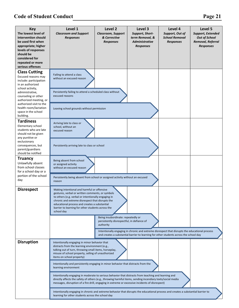| <b>Key</b><br>The lowest level of<br>intervention should<br>be used first when<br>appropriate; higher<br>levels of responses<br>should be<br>considered for<br>repeated or more<br>serious offenses                                                          | Level 1<br><b>Classroom and Support</b><br><b>Responses</b>                                                                                                                                                                                                                                                                                                                                                                                                                                                                                                                                                                                                                                                                                                                                                                                                                 | Level 2<br><b>Classroom, Support</b><br>& Corrective<br><b>Responses</b>                      | Level 3<br>Support, Short-<br>term Removal, &<br><b>Administrative</b><br><b>Responses</b>                                                                                               | Level 4<br>Support, Out of<br><b>School Removal</b><br><b>Responses</b> | Level 5<br>Support, Extended<br><b>Out of School</b><br>Removal, Referral<br><b>Responses</b> |
|--------------------------------------------------------------------------------------------------------------------------------------------------------------------------------------------------------------------------------------------------------------|-----------------------------------------------------------------------------------------------------------------------------------------------------------------------------------------------------------------------------------------------------------------------------------------------------------------------------------------------------------------------------------------------------------------------------------------------------------------------------------------------------------------------------------------------------------------------------------------------------------------------------------------------------------------------------------------------------------------------------------------------------------------------------------------------------------------------------------------------------------------------------|-----------------------------------------------------------------------------------------------|------------------------------------------------------------------------------------------------------------------------------------------------------------------------------------------|-------------------------------------------------------------------------|-----------------------------------------------------------------------------------------------|
| <b>Class Cutting</b><br>Excused reasons may<br>include: participation<br>in an authorized<br>school activity,<br>administrative,<br>counseling or other<br>authorized meeting, or<br>authorized visit to the<br>health room/lactation<br>space in the school | Failing to attend a class<br>without an excused reason<br>Persistently failing to attend a scheduled class without<br>excused reasons<br>Leaving school grounds without permission                                                                                                                                                                                                                                                                                                                                                                                                                                                                                                                                                                                                                                                                                          |                                                                                               |                                                                                                                                                                                          |                                                                         |                                                                                               |
| building.<br><b>Tardiness</b><br>Elementary school<br>students who are late<br>should not be given<br>any punitive or<br>exclusionary<br>consequences, but<br>parent/guardians                                                                               | Arriving late to class or<br>school, without an<br>excused reason<br>Persistently arriving late to class or school                                                                                                                                                                                                                                                                                                                                                                                                                                                                                                                                                                                                                                                                                                                                                          |                                                                                               |                                                                                                                                                                                          |                                                                         |                                                                                               |
| should be notified<br><b>Truancy</b><br>Unlawfully absent<br>from school classes<br>for a school day or a<br>portion of the school<br>day                                                                                                                    | Being absent from school<br>or assigned activity<br>without an excused reason<br>Persistently being absent from school or assigned activity without an excused<br>reason                                                                                                                                                                                                                                                                                                                                                                                                                                                                                                                                                                                                                                                                                                    |                                                                                               |                                                                                                                                                                                          |                                                                         |                                                                                               |
| <b>Disrespect</b>                                                                                                                                                                                                                                            | Making intentional and harmful or offensive<br>gestures, verbal or written comments, or symbols<br>to others (e.g. verbal or intentionally engaging in<br>chronic and extreme disrespect that disrupts the<br>educational process and creates a substantial<br>barrier to learning for other students across the<br>school day                                                                                                                                                                                                                                                                                                                                                                                                                                                                                                                                              | Being insubordinate: repeatedly or<br>persistently disrespectful, in defiance of<br>authority | Intentionally engaging in chronic and extreme disrespect that disrupts the educational process<br>and creates a substantial barrier to learning for other students across the school day |                                                                         |                                                                                               |
| <b>Disruption</b>                                                                                                                                                                                                                                            | Intentionally engaging in minor behavior that<br>distracts from the learning environment (e.g.,<br>talking out of turn, throwing small items, horseplay,<br>misuse of school property, selling of unauthorized<br>items on school property)<br>Intentionally and persistently engaging in minor behavior that distracts from the<br>learning environment<br>Intentionally engaging in moderate to serious behavior that distracts from teaching and learning and<br>directly affects the safety of others (e.g., throwing harmful items, sending incendiary texts/social media<br>messages, disruption of a fire drill, engaging in extreme or excessive incidents of disrespect)<br>Intentionally engaging in chronic and extreme behavior that disrupts the educational process and creates a substantial barrier to<br>learning for other students across the school day |                                                                                               |                                                                                                                                                                                          |                                                                         |                                                                                               |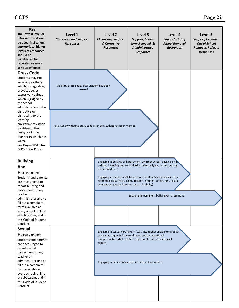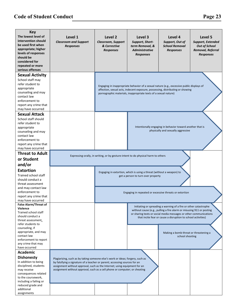| <b>Key</b><br>The lowest level of<br>intervention should<br>be used first when<br>appropriate; higher<br>levels of responses<br>should be<br>considered for<br>repeated or more<br>serious offenses<br><b>Sexual Activity</b>                            | Level 1<br><b>Classroom and Support</b><br><b>Responses</b>                                                                                                                                                                                                                                                             | Level 2<br>Classroom, Support<br>& Corrective<br><b>Responses</b>                 | Level 3<br>Support, Short-<br>term Removal, &<br><b>Administrative</b><br><b>Responses</b>                                                                           | Level 4<br>Support, Out of<br><b>School Removal</b><br><b>Responses</b>                                                                                                                                                                                                                                                                   | Level 5<br>Support, Extended<br><b>Out of School</b><br>Removal, Referral<br><b>Responses</b> |
|----------------------------------------------------------------------------------------------------------------------------------------------------------------------------------------------------------------------------------------------------------|-------------------------------------------------------------------------------------------------------------------------------------------------------------------------------------------------------------------------------------------------------------------------------------------------------------------------|-----------------------------------------------------------------------------------|----------------------------------------------------------------------------------------------------------------------------------------------------------------------|-------------------------------------------------------------------------------------------------------------------------------------------------------------------------------------------------------------------------------------------------------------------------------------------------------------------------------------------|-----------------------------------------------------------------------------------------------|
| School staff may<br>refer student to<br>appropriate<br>counseling and may<br>contact law<br>enforcement to<br>report any crime that<br>may have occurred                                                                                                 |                                                                                                                                                                                                                                                                                                                         |                                                                                   | pornographic materials, inappropriate texts of a sexual nature)                                                                                                      | Engaging in inappropriate behavior of a sexual nature (e.g., excessive public displays of<br>affection, sexual acts, indecent exposure, possessing, distributing or showing                                                                                                                                                               |                                                                                               |
| <b>Sexual Attack</b><br>School staff should<br>refer student to<br>appropriate<br>counseling and may<br>contact law<br>enforcement to<br>report any crime that<br>may have occurred                                                                      |                                                                                                                                                                                                                                                                                                                         |                                                                                   |                                                                                                                                                                      | Intentionally engaging in behavior toward another that is<br>physically and sexually aggressive                                                                                                                                                                                                                                           |                                                                                               |
| <b>Threat to Adult</b><br>or Student<br>and/or                                                                                                                                                                                                           |                                                                                                                                                                                                                                                                                                                         | Expressing-orally, in writing, or by gesture-intent to do physical harm to others |                                                                                                                                                                      |                                                                                                                                                                                                                                                                                                                                           |                                                                                               |
| <b>Extortion</b><br>Trained school staff<br>should conduct a<br>threat assessment<br>and may contact law<br>enforcement to<br>report any crime that                                                                                                      |                                                                                                                                                                                                                                                                                                                         |                                                                                   | Engaging in extortion, which is using a threat (without a weapon) to<br>get a person to turn over property<br>Engaging in repeated or excessive threats or extortion |                                                                                                                                                                                                                                                                                                                                           |                                                                                               |
| may have occurred                                                                                                                                                                                                                                        |                                                                                                                                                                                                                                                                                                                         |                                                                                   |                                                                                                                                                                      |                                                                                                                                                                                                                                                                                                                                           |                                                                                               |
| <b>False Alarm/Threat of</b><br>Violence<br>Trained school staff<br>should conduct a<br>threat assessment,<br>refer students to<br>counseling, if<br>appropriate, and may<br>contact law<br>enforcement to report<br>any crime that may<br>have occurred |                                                                                                                                                                                                                                                                                                                         |                                                                                   |                                                                                                                                                                      | Initiating or spreading a warning of a fire or other catastrophe<br>without cause (e.g., pulling a fire alarm or misusing 911 or posting<br>or sharing texts or social media messages or other communications<br>that incite fear or cause a disruption to school activities)<br>Making a bomb threat or threatening a<br>school shooting |                                                                                               |
| <b>Academic</b>                                                                                                                                                                                                                                          |                                                                                                                                                                                                                                                                                                                         |                                                                                   |                                                                                                                                                                      |                                                                                                                                                                                                                                                                                                                                           |                                                                                               |
| <b>Dishonesty</b><br>In addition to being<br>disciplined, students<br>may receive<br>consequences related<br>to the coursework,<br>including a failing or                                                                                                | Plagiarizing, such as by taking someone else's work or ideas; forgery, such as<br>by falsifying a signature of a teacher or parent; accessing sources for an<br>assignment without approval, such as the Internet; using equipment for an<br>assignment without approval, such as a cell phone or computer; or cheating |                                                                                   |                                                                                                                                                                      |                                                                                                                                                                                                                                                                                                                                           |                                                                                               |
| reduced grade and<br>additional<br>assignments                                                                                                                                                                                                           |                                                                                                                                                                                                                                                                                                                         |                                                                                   |                                                                                                                                                                      |                                                                                                                                                                                                                                                                                                                                           |                                                                                               |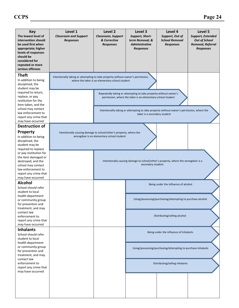| <b>Key</b><br>The lowest level of<br>intervention should<br>be used first when<br>appropriate; higher<br>levels of responses<br>should be<br>considered for<br>repeated or more<br>serious offenses | Level 1<br><b>Classroom and Support</b><br><b>Responses</b>                     | Level 2<br>Classroom, Support<br>& Corrective<br><b>Responses</b>                                       | Level 3<br>Support, Short-<br>term Removal, &<br><b>Administrative</b><br><b>Responses</b>                                      | Level 4<br>Support, Out of<br><b>School Removal</b><br><b>Responses</b>                   | Level 5<br>Support, Extended<br><b>Out of School</b><br>Removal, Referral<br><b>Responses</b> |  |
|-----------------------------------------------------------------------------------------------------------------------------------------------------------------------------------------------------|---------------------------------------------------------------------------------|---------------------------------------------------------------------------------------------------------|---------------------------------------------------------------------------------------------------------------------------------|-------------------------------------------------------------------------------------------|-----------------------------------------------------------------------------------------------|--|
| <b>Theft</b><br>In addition to being<br>disciplined, the<br>student may be                                                                                                                          | Intentionally taking or attempting to take property without owner's permission, | where the taker is an elementary school student                                                         |                                                                                                                                 |                                                                                           |                                                                                               |  |
| required to return,<br>replace, or pay<br>restitution for the<br>item taken, and the                                                                                                                |                                                                                 |                                                                                                         | Repeatedly taking or attempting to take property without owner's<br>permission, where the taker is an elementary school student |                                                                                           |                                                                                               |  |
| school may contact<br>law enforcement to<br>report any crime that<br>may have occurred                                                                                                              |                                                                                 |                                                                                                         | taker is a secondary student                                                                                                    | Intentionally taking or attempting to take property without owner's permission, where the |                                                                                               |  |
| <b>Destruction of</b>                                                                                                                                                                               |                                                                                 |                                                                                                         |                                                                                                                                 |                                                                                           |                                                                                               |  |
| <b>Property</b><br>In addition to being<br>disciplined, the<br>student may be<br>required to replace                                                                                                | Intentionally causing damage to school/other's property, where the              | wrongdoer is an elementary school student                                                               |                                                                                                                                 |                                                                                           |                                                                                               |  |
| or pay restitution for<br>the item damaged or<br>destroyed, and the<br>school may contact<br>law enforcement to<br>report any crime that<br>may have occurred                                       |                                                                                 | Intentionally causing damage to school/other's property, where the wrongdoer is a<br>secondary student. |                                                                                                                                 |                                                                                           |                                                                                               |  |
| <b>Alcohol</b><br>School should refer<br>student to local                                                                                                                                           |                                                                                 |                                                                                                         |                                                                                                                                 | Being under the influence of alcohol                                                      |                                                                                               |  |
| health department<br>or community group<br>for prevention and<br>treatment, and may                                                                                                                 |                                                                                 |                                                                                                         |                                                                                                                                 | Using/possessing/purchasing/attempting to purchase alcohol                                |                                                                                               |  |
| contact law<br>enforcement to<br>report any crime that<br>may have occurred                                                                                                                         |                                                                                 |                                                                                                         |                                                                                                                                 | Distributing/selling alcohol                                                              |                                                                                               |  |
| <b>Inhalants</b><br>School should refer<br>student to local<br>health department                                                                                                                    |                                                                                 |                                                                                                         |                                                                                                                                 | Being under the influence of inhalants                                                    |                                                                                               |  |
| or community group<br>for prevention and<br>treatment, and may                                                                                                                                      |                                                                                 |                                                                                                         |                                                                                                                                 | Using/possessing/purchasing/attempting to purchase inhalants                              |                                                                                               |  |
| contact law<br>enforcement to<br>report any crime that<br>may have occurred                                                                                                                         |                                                                                 |                                                                                                         |                                                                                                                                 | Distributing/selling inhalants                                                            |                                                                                               |  |
|                                                                                                                                                                                                     |                                                                                 |                                                                                                         |                                                                                                                                 |                                                                                           |                                                                                               |  |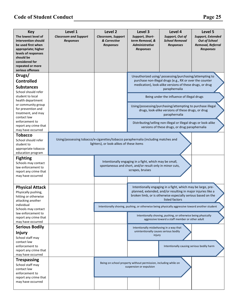| <b>Key</b><br>The lowest level of<br>intervention should<br>be used first when<br>appropriate; higher<br>levels of responses<br>should be<br>considered for<br>repeated or more<br>serious offenses | Level 1<br><b>Classroom and Support</b><br><b>Responses</b>                        | Level 2<br><b>Classroom, Support</b><br>& Corrective<br><b>Responses</b> | Level 3<br>Support, Short-<br>term Removal, &<br><b>Administrative</b><br><b>Responses</b>                                             | Level 4<br>Support, Out of<br><b>School Removal</b><br><b>Responses</b>                                                                                                                                       | Level 5<br>Support, Extended<br><b>Out of School</b><br>Removal, Referral<br><b>Responses</b> |
|-----------------------------------------------------------------------------------------------------------------------------------------------------------------------------------------------------|------------------------------------------------------------------------------------|--------------------------------------------------------------------------|----------------------------------------------------------------------------------------------------------------------------------------|---------------------------------------------------------------------------------------------------------------------------------------------------------------------------------------------------------------|-----------------------------------------------------------------------------------------------|
| Drugs/<br><b>Controlled</b><br><b>Substances</b>                                                                                                                                                    |                                                                                    |                                                                          |                                                                                                                                        | Unauthorized using/possessing/purchasing/attempting to<br>purchase non-illegal drugs (e.g., RX or over the counter<br>medication), look-alike versions of these drugs, or drug<br>paraphernalia               |                                                                                               |
| School should refer<br>student to local<br>health department<br>or community group<br>for prevention and                                                                                            |                                                                                    |                                                                          |                                                                                                                                        | Being under the influence of illegal drugs<br>Using/possessing/purchasing/attempting to purchase illegal                                                                                                      |                                                                                               |
| treatment, and may<br>contact law                                                                                                                                                                   |                                                                                    |                                                                          |                                                                                                                                        | drugs, look-alike versions of these drugs, or drug<br>paraphernalia                                                                                                                                           |                                                                                               |
| enforcement to<br>report any crime that<br>may have occurred                                                                                                                                        |                                                                                    |                                                                          |                                                                                                                                        | Distributing/selling non-illegal or illegal drugs or look-alike<br>versions of these drugs, or drug paraphernalia                                                                                             |                                                                                               |
| <b>Tobacco</b><br>School should refer<br>student to<br>appropriate tobacco<br>education program                                                                                                     | Using/possessing tobacco/e-cigarettes/tobacco paraphernalia (including matches and | lighters), or look-alikes of these items                                 |                                                                                                                                        |                                                                                                                                                                                                               |                                                                                               |
| <b>Fighting</b><br>Schools may contact<br>law enforcement to<br>report any crime that<br>may have occurred                                                                                          |                                                                                    |                                                                          | Intentionally engaging in a fight, which may be small,<br>spontaneous and short, and/or result only in minor cuts,<br>scrapes, bruises |                                                                                                                                                                                                               |                                                                                               |
| <b>Physical Attack</b><br>Physically pushing,<br>hitting or otherwise<br>attacking another                                                                                                          |                                                                                    |                                                                          |                                                                                                                                        | Intentionally engaging in a fight, which may be large, pre-<br>planned, extended, and/or resulting in major injuries like a<br>broken limb, or is otherwise especially serious based on the<br>listed factors |                                                                                               |
| individual<br>Schools may contact<br>law enforcement to                                                                                                                                             |                                                                                    |                                                                          |                                                                                                                                        | Intentionally shoving, pushing, or otherwise being physically aggressive toward another student                                                                                                               |                                                                                               |
| report any crime that<br>may have occurred                                                                                                                                                          |                                                                                    |                                                                          |                                                                                                                                        | Intentionally shoving, pushing, or otherwise being physically<br>aggressive toward a staff member or other adult                                                                                              |                                                                                               |
| <b>Serious Bodily</b><br><b>Injury</b><br>School staff may<br>contact law                                                                                                                           |                                                                                    |                                                                          | Intentionally misbehaving in a way that<br>unintentionally causes serious bodily<br>injury                                             |                                                                                                                                                                                                               |                                                                                               |
| enforcement to<br>report any crime that<br>may have occurred                                                                                                                                        |                                                                                    |                                                                          |                                                                                                                                        | Intentionally causing serious bodily harm                                                                                                                                                                     |                                                                                               |
| <b>Trespassing</b><br>School staff may<br>contact law<br>enforcement to<br>report any crime that<br>may have occurred                                                                               |                                                                                    |                                                                          | Being on school property without permission, including while on<br>suspension or expulsion                                             |                                                                                                                                                                                                               |                                                                                               |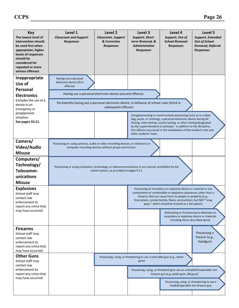| <b>Key</b><br>The lowest level of<br>intervention should<br>be used first when<br>appropriate; higher<br>levels of responses<br>should be<br>considered for<br>repeated or more<br>serious offenses | Level 1<br><b>Classroom and Support</b><br><b>Responses</b>                                                                                                  | Level 2<br><b>Classroom, Support</b><br>& Corrective<br><b>Responses</b>        | Level 3<br>Support, Short-<br>term Removal, &<br><b>Administrative</b><br><b>Responses</b> | Level 4<br>Support, Out of<br><b>School Removal</b><br><b>Responses</b>                                                                                                                                                                                                                                                                                                                                        | Level 5<br><b>Support, Extended</b><br><b>Out of School</b><br>Removal, Referral<br><b>Responses</b> |
|-----------------------------------------------------------------------------------------------------------------------------------------------------------------------------------------------------|--------------------------------------------------------------------------------------------------------------------------------------------------------------|---------------------------------------------------------------------------------|--------------------------------------------------------------------------------------------|----------------------------------------------------------------------------------------------------------------------------------------------------------------------------------------------------------------------------------------------------------------------------------------------------------------------------------------------------------------------------------------------------------------|------------------------------------------------------------------------------------------------------|
| Inappropriate<br>Use of<br>Personal<br><b>Electronics</b><br>Excludes the use of a<br>device in an<br>emergency or                                                                                  | Having out a personal<br>electronic device (first<br>offense)<br>Persistently having out a personal electronic device, in defiance of school rules (third or | Having out a personal electronic device (second offense)<br>subsequent offense) |                                                                                            |                                                                                                                                                                                                                                                                                                                                                                                                                |                                                                                                      |
| preapproved<br>situation<br>See pages 10-11.                                                                                                                                                        |                                                                                                                                                              |                                                                                 | other students' tests.                                                                     | Using/possessing or constructively possessing (such as in a desk,<br>bag, purse, or clothing), a personal electronic device during AP<br>testing, state testing, county testing, or other testing designated<br>by the superintendent or principal. In addition to the discipline,<br>this offense may result in the invalidation of the student's test and                                                    |                                                                                                      |
| Camera/<br>Video/Audio<br><b>Misuse</b>                                                                                                                                                             | Possessing or using cameras, audio or video recording devices, or electronic or                                                                              | computer recording devices without proper permission.                           |                                                                                            |                                                                                                                                                                                                                                                                                                                                                                                                                |                                                                                                      |
| Computers/<br>Technology/<br>Telecomm-<br>unications<br><b>Misuse</b>                                                                                                                               | Possessing or using computers, technology, or telecommunications in any manner prohibited by the                                                             | school system, as provided on pages 9-11.                                       |                                                                                            |                                                                                                                                                                                                                                                                                                                                                                                                                |                                                                                                      |
| <b>Explosives</b><br>School staff may<br>contact law<br>enforcement to<br>report any crime that<br>may have occurred                                                                                |                                                                                                                                                              |                                                                                 |                                                                                            | Possessing an incendiary or explosive device or material or any<br>combination of combustible or explosive substances, other than a<br>firearm, that can cause harm to people or property (e.g.,<br>firecrackers, smoke bombs, flares; ammunition; but NOT "snap<br>pops," which should be treated as a disruption)<br>Detonating or threatening to detonate an<br>incendiary or explosive device or material, |                                                                                                      |
| <b>Firearms</b><br>School staff may<br>contact law<br>enforcement to<br>report any crime that<br>may have occurred                                                                                  |                                                                                                                                                              |                                                                                 |                                                                                            | including those described above                                                                                                                                                                                                                                                                                                                                                                                | Possessing a<br>firearm (e.g.,<br>handgun)                                                           |
| <b>Other Guns</b><br>School staff may<br>contact law<br>enforcement to<br>report any crime that<br>may have occurred                                                                                |                                                                                                                                                              |                                                                                 | Possessing, using, or threatening to use a look-alike gun (e.g., water<br>guns)            | Possessing, using, or threatening to use an unloaded/inoperable non-<br>firearm gun (e.g. pellet guns, BB guns)<br>Possessing, using, or threatening to use a<br>loaded/operable non-firearm gun                                                                                                                                                                                                               |                                                                                                      |
|                                                                                                                                                                                                     |                                                                                                                                                              |                                                                                 |                                                                                            |                                                                                                                                                                                                                                                                                                                                                                                                                |                                                                                                      |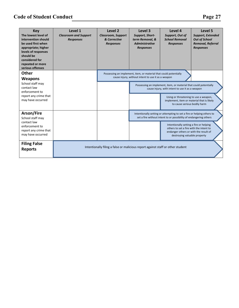| Ю<br>œ<br>u |  |
|-------------|--|
|-------------|--|

| <b>Key</b><br>The lowest level of<br>intervention should<br>be used first when<br>appropriate; higher<br>levels of responses<br>should be<br>considered for<br>repeated or more<br>serious offenses | Level 1<br><b>Classroom and Support</b><br><b>Responses</b> | Level <sub>2</sub><br><b>Classroom, Support</b><br>& Corrective<br><b>Responses</b> | Level 3<br>Support, Short-<br>term Removal, &<br><b>Administrative</b><br><b>Responses</b>                              | Level 4<br>Support, Out of<br><b>School Removal</b><br><b>Responses</b>                                                                                                                                                                                                                                    | Level 5<br><b>Support, Extended</b><br><b>Out of School</b><br><b>Removal, Referral</b><br><b>Responses</b> |
|-----------------------------------------------------------------------------------------------------------------------------------------------------------------------------------------------------|-------------------------------------------------------------|-------------------------------------------------------------------------------------|-------------------------------------------------------------------------------------------------------------------------|------------------------------------------------------------------------------------------------------------------------------------------------------------------------------------------------------------------------------------------------------------------------------------------------------------|-------------------------------------------------------------------------------------------------------------|
| <b>Other</b><br><b>Weapons</b><br>School staff may<br>contact law<br>enforcement to<br>report any crime that<br>may have occurred                                                                   |                                                             |                                                                                     | Possessing an implement, item, or material that could potentially<br>cause injury, without intent to use it as a weapon | Possessing an implement, item, or material that could potentially<br>cause injury, with intent to use it as a weapon<br>Using or threatening to use a weapon,<br>implement, item or material that is likely<br>to cause serious bodily harm                                                                |                                                                                                             |
| Arson/Fire<br>School staff may<br>contact law<br>enforcement to<br>report any crime that<br>may have occurred                                                                                       |                                                             |                                                                                     |                                                                                                                         | Intentionally setting or attempting to set a fire or helping others to<br>set a fire without intent to or possibility of endangering others<br>Intentionally setting a fire or helping<br>others to set a fire with the intent to<br>endanger others or with the result of<br>destroying valuable property |                                                                                                             |
| <b>Filing False</b><br><b>Reports</b>                                                                                                                                                               |                                                             | Intentionally filing a false or malicious report against staff or other student     |                                                                                                                         |                                                                                                                                                                                                                                                                                                            |                                                                                                             |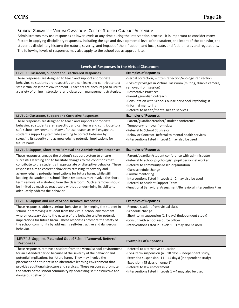#### STUDENT GUIDANCE – VIRTUAL CLASSROOM: CODE OF STUDENT CONDUCT ADDENDUM

Administrators may use responses at lower levels at any time during the intervention process. It is important to consider many factors in applying disciplinary responses, including the age and developmental level of the student; the intent of the behavior; the student's disciplinary history; the nature, severity, and impact of the infraction; and local, state, and federal rules and regulations. The following levels of responses may also apply to the school bus as appropriate.

| Levels of Responses in the Virtual Classroom                                                                                                                                                                                                                                                                                                                                                                                                                                                                                                                                                                         |                                                                                                                                                                                                                                                                                                                                                                                 |  |  |  |
|----------------------------------------------------------------------------------------------------------------------------------------------------------------------------------------------------------------------------------------------------------------------------------------------------------------------------------------------------------------------------------------------------------------------------------------------------------------------------------------------------------------------------------------------------------------------------------------------------------------------|---------------------------------------------------------------------------------------------------------------------------------------------------------------------------------------------------------------------------------------------------------------------------------------------------------------------------------------------------------------------------------|--|--|--|
| LEVEL 1: Classroom, Support and Teacher-led Responses                                                                                                                                                                                                                                                                                                                                                                                                                                                                                                                                                                | <b>Examples of Reponses</b>                                                                                                                                                                                                                                                                                                                                                     |  |  |  |
| These responses are designed to teach and support appropriate<br>behavior, so students are respectful, and can learn and contribute to a<br>safe virtual classroom environment. Teachers are encouraged to utilize<br>a variety of online instructional and classroom management strategies.                                                                                                                                                                                                                                                                                                                         | -Verbal correction, written reflection/apology, redirection<br>-Loss of privileges in Virtual Classroom (muting, disable camera,<br>removed from session)<br>-Restorative Practices<br>-Parent /guardian outreach<br>-Consultation with School Counselor/School Psychologist<br>-Informal mentoring<br>-Referral to health/mental health services                               |  |  |  |
| LEVEL 2: Classroom, Support and Corrective Responses                                                                                                                                                                                                                                                                                                                                                                                                                                                                                                                                                                 | <b>Examples of Reponses</b>                                                                                                                                                                                                                                                                                                                                                     |  |  |  |
| These responses are designed to teach and support appropriate<br>behavior, so students are respectful, and can learn and contribute to a<br>safe school environment. Many of these responses will engage the<br>student's support system while aiming to correct behavior by<br>stressing its severity and acknowledging potential implications for<br>future harm.                                                                                                                                                                                                                                                  | -Parent/guardian/teacher/ student conference<br>-Temporary removal from class<br>-Referral to School Counselor<br>-Behavior Contract -Referral to mental health services<br>-Interventions listed in Level 1 may also be used                                                                                                                                                   |  |  |  |
| LEVEL 3: Support, Short-term Removal and Administrative Responses                                                                                                                                                                                                                                                                                                                                                                                                                                                                                                                                                    | <b>Examples of Reponses</b>                                                                                                                                                                                                                                                                                                                                                     |  |  |  |
| These responses engage the student's support system to ensure<br>successful learning and to facilitate changes to the conditions that<br>contribute to the student's inappropriate or disruptive behavior. These<br>responses aim to correct behavior by stressing its severity and<br>acknowledging potential implications for future harm, while still<br>keeping the student in school. These responses may involve the short-<br>term removal of a student from the classroom. Such a removal should<br>be limited as much as practicable without undermining its ability to<br>adequately address the behavior. | -Parent/guardian/student conference with administrator<br>-Referral to school psychologist, pupil personnel worker<br>-Referral to community-based organization<br>-Class schedule change<br>-Formal mentoring<br>-Interventions listed in Levels 1 - 2 may also be used<br>-Referral to Student Support Team<br>-Functional Behavioral Assessment/Behavioral Intervention Plan |  |  |  |
| LEVEL 4: Support and Out of School Removal Responses                                                                                                                                                                                                                                                                                                                                                                                                                                                                                                                                                                 | <b>Examples of Reponses</b>                                                                                                                                                                                                                                                                                                                                                     |  |  |  |
| These responses address serious behavior while keeping the student in<br>school, or removing a student from the virtual school environment<br>where necessary due to the nature of the behavior and/or potential<br>implications for future harm. These responses promote the safety of<br>the school community by addressing self-destructive and dangerous<br>behavior.                                                                                                                                                                                                                                            | -Remove student from virtual class<br>-Schedule change<br>-Short-term suspension (1-3 days) (independent study)<br>-Consult with school resource officer<br>-Interventions listed in Levels $1 - 3$ may also be used                                                                                                                                                            |  |  |  |
| LEVEL 5: Support, Extended Out of School Removal, Referral<br><b>Responses</b>                                                                                                                                                                                                                                                                                                                                                                                                                                                                                                                                       | <b>Examples of Reponses</b>                                                                                                                                                                                                                                                                                                                                                     |  |  |  |
| These responses remove a student from the virtual school environment<br>for an extended period because of the severity of the behavior and<br>potential implications for future harm. They may involve the<br>placement of a student in an alternative learning environment that<br>provides additional structure and services. These responses promote<br>the safety of the school community by addressing self-destructive and<br>dangerous behavior.                                                                                                                                                              | -Referral to alternative education<br>-Long-term suspension $(4 - 10 \text{ days})$ (independent study)<br>-Extended suspension (11 - 44 days) (independent study)<br>-Expulsion (45 days or longer)*<br>-Referral to law enforcement<br>-Interventions listed in Levels $1 - 4$ may also be used                                                                               |  |  |  |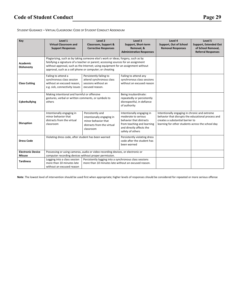#### STUDENT GUIDANCE – VIRTUAL CLASSROOM: CODE OF STUDENT CONDUCT ADDENDUM

| Key                           | Level 1<br><b>Virtual Classroom and</b><br><b>Support Responses</b>                                              | Level 2<br>Classroom, Support &<br><b>Corrective Responses</b>                                                                                                                                                                                                                                                          | Level 3<br>Support, Short-term<br>Removal, &                                                     | Level 4<br>Support, Out of School<br><b>Removal Responses</b>                                                                                                                                | Level 5<br><b>Support, Extended Out</b><br>of School Removal. |
|-------------------------------|------------------------------------------------------------------------------------------------------------------|-------------------------------------------------------------------------------------------------------------------------------------------------------------------------------------------------------------------------------------------------------------------------------------------------------------------------|--------------------------------------------------------------------------------------------------|----------------------------------------------------------------------------------------------------------------------------------------------------------------------------------------------|---------------------------------------------------------------|
|                               |                                                                                                                  |                                                                                                                                                                                                                                                                                                                         | <b>Administrative Responses</b>                                                                  |                                                                                                                                                                                              | <b>Referral Responses</b>                                     |
| Academic<br><b>Dishonesty</b> |                                                                                                                  | Plagiarizing, such as by taking someone else's work or ideas; forgery, such as by<br>falsifying a signature of a teacher or parent; accessing sources for an assignment<br>without approval, such as the Internet; using equipment for an assignment without<br>approval, such as a cell phone or computer; or cheating |                                                                                                  |                                                                                                                                                                                              |                                                               |
| <b>Class Cutting</b>          | Failing to attend a<br>synchronous class session<br>without an excused reason.<br>e.g. sick, connectivity issues | Persistently failing to<br>attend synchronous class<br>sessions without an<br>excused reason.                                                                                                                                                                                                                           | Failing to attend any<br>synchronous class sessions<br>without an excused reason                 |                                                                                                                                                                                              |                                                               |
| Cyberbullying                 | Making intentional and harmful or offensive<br>gestures, verbal or written comments, or symbols to<br>others     |                                                                                                                                                                                                                                                                                                                         | Being insubordinate:<br>repeatedly or persistently<br>disrespectful, in defiance<br>of authority |                                                                                                                                                                                              |                                                               |
| <b>Disruption</b>             | Intentionally engaging in<br>minor behavior that<br>distracts from the virtual<br>classroom                      | Persistently and<br>Intentionally engaging in<br>moderate to serious<br>intentionally engaging in<br>behavior that distracts<br>minor behavior that<br>from teaching and learning<br>distracts from the virtual<br>and directly affects the<br>classroom<br>safety of others                                            |                                                                                                  | Intentionally engaging in chronic and extreme<br>behavior that disrupts the educational process and<br>creates a substantial barrier to<br>learning for other students across the school day |                                                               |
| <b>Dress Code</b>             |                                                                                                                  | Violating dress code, after student has been warned                                                                                                                                                                                                                                                                     |                                                                                                  |                                                                                                                                                                                              |                                                               |
| <b>Electronic Device</b>      |                                                                                                                  | Possessing or using cameras, audio or video recording devices, or electronic or                                                                                                                                                                                                                                         |                                                                                                  |                                                                                                                                                                                              |                                                               |
| <b>Misuse</b>                 | computer recording devices without proper permission.                                                            |                                                                                                                                                                                                                                                                                                                         |                                                                                                  |                                                                                                                                                                                              |                                                               |
| <b>Tardiness</b>              | Logging into a class session<br>more than 10 minutes late<br>without an excused reason                           | Persistently logging into a synchronous class sessions<br>more than 10 minutes late without an excused reason.                                                                                                                                                                                                          |                                                                                                  |                                                                                                                                                                                              |                                                               |

**Note**: The lowest level of intervention should be used first when appropriate; higher levels of responses should be considered for repeated or more serious offense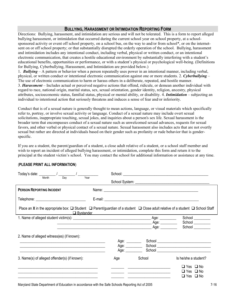#### **BULLYING, HARASSMENT OR INTIMIDATION REPORTING FORM**

Directions: Bullying, harassment, and intimidation are serious and will not be tolerated. This is a form to report alleged bullying harassment, or intimidation that occurred during the current school year on school property, at a schoolsponsored activity or event off school property, on a school bus, on the way to and/or from school\*, or on the internetsent on or off school property; or that substantially disrupted the orderly operation of the school. Bullying, harassment and intimidation includes any intentional conduct, including verbal, physical or written conduct, or an intentional electronic communication, that creates a hostile educational environment by substantially interfering with a student's educational benefits, opportunities or performance, or with a student's physical or psychological well-being. (Definitions for Bullying, Cyberbullying, Harassment, and Intimidation are provided below.)

1. *Bullying –* A pattern or behavior when a person repeatedly uses power in an intentional manner, including verbal, physical, or written conduct or intentional electronic communication against one or more students. 2. *Cyberbullying* – The use of electronic communication to harm or harass others in a deliberate, repeated, and hostile manner. 3. *Harassment –* Includes actual or perceived negative actions that offend, ridicule, or demean another individual with regard to race, national origin, marital status, sex, sexual orientation, gender identity, religion, ancestry, physical attributes, socioeconomic status, familial status, physical or mental ability, or disability. 4. *Intimidation* – subjecting an individual to intentional action that seriously threatens and induces a sense of fear and/or inferiority.

Conduct that is of a sexual nature is generally thought to mean actions, language, or visual materials which specifically refer to, portray, or involve sexual activity or language. Conduct of a sexual nature may include overt sexual solicitations, inappropriate touching, sexual jokes, and inquiries about a person's sex life. Sexual harassment is the broader term that encompasses conduct of a sexual nature such as unwelcomed sexual advances, requests for sexual favors, and other verbal or physical contact of a sexual nature. Sexual harassment also includes acts that are not overtly sexual but rather are directed at individuals based on their gender such as profanity or rude behavior that is genderspecific.

If you are a student, the parent/guardian of a student, a close adult relative of a student, or a school staff member and wish to report an incident of alleged bullying harassment, or intimidation, complete this form and return it to the principal at the student victim's school. You may contact the school for additional information or assistance at any time.

| Day<br>Month                                                                                                                                                                                                                                                                                                                                                                               | Year                                                                                                                  |                                                                                                                                                                                                                                |                      |
|--------------------------------------------------------------------------------------------------------------------------------------------------------------------------------------------------------------------------------------------------------------------------------------------------------------------------------------------------------------------------------------------|-----------------------------------------------------------------------------------------------------------------------|--------------------------------------------------------------------------------------------------------------------------------------------------------------------------------------------------------------------------------|----------------------|
| <b>PERSON REPORTING INCIDENT</b>                                                                                                                                                                                                                                                                                                                                                           |                                                                                                                       |                                                                                                                                                                                                                                |                      |
| Telephone: ______________________________                                                                                                                                                                                                                                                                                                                                                  |                                                                                                                       |                                                                                                                                                                                                                                |                      |
| Place an X in the appropriate box: $\Box$ Student $\Box$ Parent/guardian of a student $\Box$ Close adult relative of a student $\Box$ School Staff<br><u>Delegander and Europe and Bystander and Europe and Europe and Europe and Europe and Europe and Europe and Europe and Europe and Europe and Europe and Europe and Europe and Europe and Europe and Europe and Europe and Europ</u> |                                                                                                                       |                                                                                                                                                                                                                                |                      |
|                                                                                                                                                                                                                                                                                                                                                                                            |                                                                                                                       |                                                                                                                                                                                                                                |                      |
|                                                                                                                                                                                                                                                                                                                                                                                            |                                                                                                                       |                                                                                                                                                                                                                                | School _________     |
|                                                                                                                                                                                                                                                                                                                                                                                            | <u> 1989 - Johann Barbara, martin da basar da basar da basar da basar da basar da basar da basar da basar da basa</u> | Age: where the control of the control of the control of the control of the control of the control of the control of the control of the control of the control of the control of the control of the control of the control of t | School               |
| 2. Name of alleged witness(es) (if known):                                                                                                                                                                                                                                                                                                                                                 |                                                                                                                       |                                                                                                                                                                                                                                |                      |
|                                                                                                                                                                                                                                                                                                                                                                                            | Age: ________                                                                                                         |                                                                                                                                                                                                                                |                      |
|                                                                                                                                                                                                                                                                                                                                                                                            |                                                                                                                       |                                                                                                                                                                                                                                |                      |
|                                                                                                                                                                                                                                                                                                                                                                                            | Age: $\_\_$                                                                                                           |                                                                                                                                                                                                                                |                      |
| 3. Name(s) of alleged offender(s) (if known):                                                                                                                                                                                                                                                                                                                                              | Age                                                                                                                   | School                                                                                                                                                                                                                         | Is he/she a student? |
|                                                                                                                                                                                                                                                                                                                                                                                            |                                                                                                                       |                                                                                                                                                                                                                                | $\Box$ Yes $\Box$ No |
|                                                                                                                                                                                                                                                                                                                                                                                            |                                                                                                                       | <u> 1989 - John Stein, Amerikaansk politiker (* 1958)</u>                                                                                                                                                                      | $\Box$ Yes $\Box$ No |
|                                                                                                                                                                                                                                                                                                                                                                                            |                                                                                                                       |                                                                                                                                                                                                                                | $\Box$ Yes $\Box$ No |
|                                                                                                                                                                                                                                                                                                                                                                                            |                                                                                                                       |                                                                                                                                                                                                                                |                      |

#### (**PLEASE PRINT ALL INFORMATION**)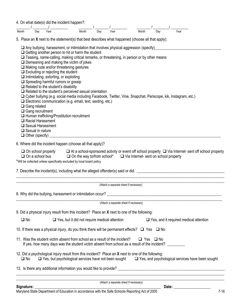| 4. On what date(s) did the incident happen?:                                                                                                                                                                                                                       |     |                                                     |                                                                                                                                                                                                                                                                                                                                                 |                                                                                                                                                                                                                                                                                                                                                                                                |     |                                        |       |                                                                                                                      |                                                                                                                   |                                                                                                                                                                                                                                |
|--------------------------------------------------------------------------------------------------------------------------------------------------------------------------------------------------------------------------------------------------------------------|-----|-----------------------------------------------------|-------------------------------------------------------------------------------------------------------------------------------------------------------------------------------------------------------------------------------------------------------------------------------------------------------------------------------------------------|------------------------------------------------------------------------------------------------------------------------------------------------------------------------------------------------------------------------------------------------------------------------------------------------------------------------------------------------------------------------------------------------|-----|----------------------------------------|-------|----------------------------------------------------------------------------------------------------------------------|-------------------------------------------------------------------------------------------------------------------|--------------------------------------------------------------------------------------------------------------------------------------------------------------------------------------------------------------------------------|
| Month                                                                                                                                                                                                                                                              | Day | Year                                                |                                                                                                                                                                                                                                                                                                                                                 | Month                                                                                                                                                                                                                                                                                                                                                                                          | Day | Year                                   | Month | Dav                                                                                                                  | Year                                                                                                              |                                                                                                                                                                                                                                |
| 5. Place an $X$ next to the statement(s) that best describes what happened (choose all that apply):<br>$\Box$ Gang related<br>$\Box$ Gang recruitment<br>$\Box$ Racial Harassment<br>$\Box$ Sexual Harassment<br>$\Box$ Sexual in nature<br>$\Box$ Other (specify) |     |                                                     | $\Box$ Demeaning and making the victim of jokes<br>$\Box$ Making rude and/or threatening gestures<br>$\Box$ Excluding or rejecting the student<br>$\Box$ Intimidating, extorting, or exploiting<br>$\Box$ Spreading harmful rumors or gossip<br>$\Box$ Related to the student's disability<br>$\Box$ Human trafficking/Prostitution recruitment | $\Box$ Any bullying, harassment, or intimidation that involves physical aggression (specify)<br>$\Box$ Getting another person to hit or harm the student<br>$\Box$ Teasing, name-calling, making critical remarks, or threatening, in person or by other means<br>$\Box$ Related to the student's perceived sexual orientation<br>□ Electronic communication (e.g. email, text, sexting, etc.) |     |                                        |       |                                                                                                                      | □ Cyber bullying (e.g. social media including Facebook, Twitter, Vine, Snapchat, Periscope, kik, Instagram, etc.) |                                                                                                                                                                                                                                |
| 6. Where did the incident happen (choose all that apply)?                                                                                                                                                                                                          |     |                                                     |                                                                                                                                                                                                                                                                                                                                                 |                                                                                                                                                                                                                                                                                                                                                                                                |     |                                        |       |                                                                                                                      |                                                                                                                   |                                                                                                                                                                                                                                |
| *Will be collected unless specifically excluded by local board policy<br>7. Describe the incident(s), including what the alleged offender(s) said or did.                                                                                                          |     | $\Box$ On school property<br>$\Box$ On a school bus |                                                                                                                                                                                                                                                                                                                                                 |                                                                                                                                                                                                                                                                                                                                                                                                |     |                                        |       | $\Box$ On the way to/from school* $\Box$ Via Internet- sent on school property                                       |                                                                                                                   | $\Box$ At a school-sponsored activity or event off school property $\Box$ Via Internet- sent off school property                                                                                                               |
|                                                                                                                                                                                                                                                                    |     |                                                     |                                                                                                                                                                                                                                                                                                                                                 |                                                                                                                                                                                                                                                                                                                                                                                                |     | (Attach a separate sheet if necessary) |       |                                                                                                                      |                                                                                                                   |                                                                                                                                                                                                                                |
|                                                                                                                                                                                                                                                                    |     |                                                     |                                                                                                                                                                                                                                                                                                                                                 |                                                                                                                                                                                                                                                                                                                                                                                                |     |                                        |       |                                                                                                                      |                                                                                                                   |                                                                                                                                                                                                                                |
|                                                                                                                                                                                                                                                                    |     |                                                     |                                                                                                                                                                                                                                                                                                                                                 |                                                                                                                                                                                                                                                                                                                                                                                                |     | (Attach a separate sheet if necessary) |       |                                                                                                                      |                                                                                                                   |                                                                                                                                                                                                                                |
| 9. Did a physical injury result from this incident? Place an X next to one of the following:                                                                                                                                                                       |     |                                                     |                                                                                                                                                                                                                                                                                                                                                 |                                                                                                                                                                                                                                                                                                                                                                                                |     |                                        |       |                                                                                                                      |                                                                                                                   |                                                                                                                                                                                                                                |
| $\square$ No                                                                                                                                                                                                                                                       |     |                                                     |                                                                                                                                                                                                                                                                                                                                                 | $\Box$ Yes, but it did not require medical attention                                                                                                                                                                                                                                                                                                                                           |     |                                        |       |                                                                                                                      |                                                                                                                   | $\Box$ Yes, and it required medical attention                                                                                                                                                                                  |
| 10. If there was a physical injury, do you think there will be permanent effects? $\Box$ Yes $\Box$ No                                                                                                                                                             |     |                                                     |                                                                                                                                                                                                                                                                                                                                                 |                                                                                                                                                                                                                                                                                                                                                                                                |     |                                        |       |                                                                                                                      |                                                                                                                   |                                                                                                                                                                                                                                |
| 11. Was the student victim absent from school as a result of the incident?                                                                                                                                                                                         |     |                                                     |                                                                                                                                                                                                                                                                                                                                                 |                                                                                                                                                                                                                                                                                                                                                                                                |     |                                        |       | $\Box$ Yes $\Box$ No<br>If yes, how many days was the student victim absent from school as a result of the incident? |                                                                                                                   |                                                                                                                                                                                                                                |
| 12. Did a psychological injury result from this incident? Place an X next to one of the following:<br>$\square$ No                                                                                                                                                 |     |                                                     |                                                                                                                                                                                                                                                                                                                                                 |                                                                                                                                                                                                                                                                                                                                                                                                |     |                                        |       |                                                                                                                      |                                                                                                                   | $\Box$ Yes, but psychological services have not been sought $\Box$ Yes, and psychological services have been sought                                                                                                            |
|                                                                                                                                                                                                                                                                    |     |                                                     |                                                                                                                                                                                                                                                                                                                                                 |                                                                                                                                                                                                                                                                                                                                                                                                |     |                                        |       |                                                                                                                      |                                                                                                                   | 13. Is there any additional information you would like to provide? The contract of the contract of the contract of the contract of the contract of the contract of the contract of the contract of the contract of the contrac |
|                                                                                                                                                                                                                                                                    |     |                                                     |                                                                                                                                                                                                                                                                                                                                                 |                                                                                                                                                                                                                                                                                                                                                                                                |     | (Attach a separate sheet if necessary) |       |                                                                                                                      |                                                                                                                   |                                                                                                                                                                                                                                |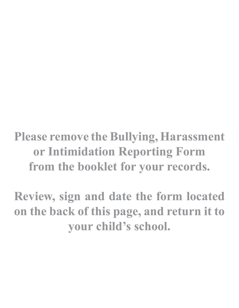**Please remove the Bullying, Harassment or Intimidation Reporting Form from the booklet for your records.** 

**Review, sign and date the form located on the back of this page, and return it to your child's school.**